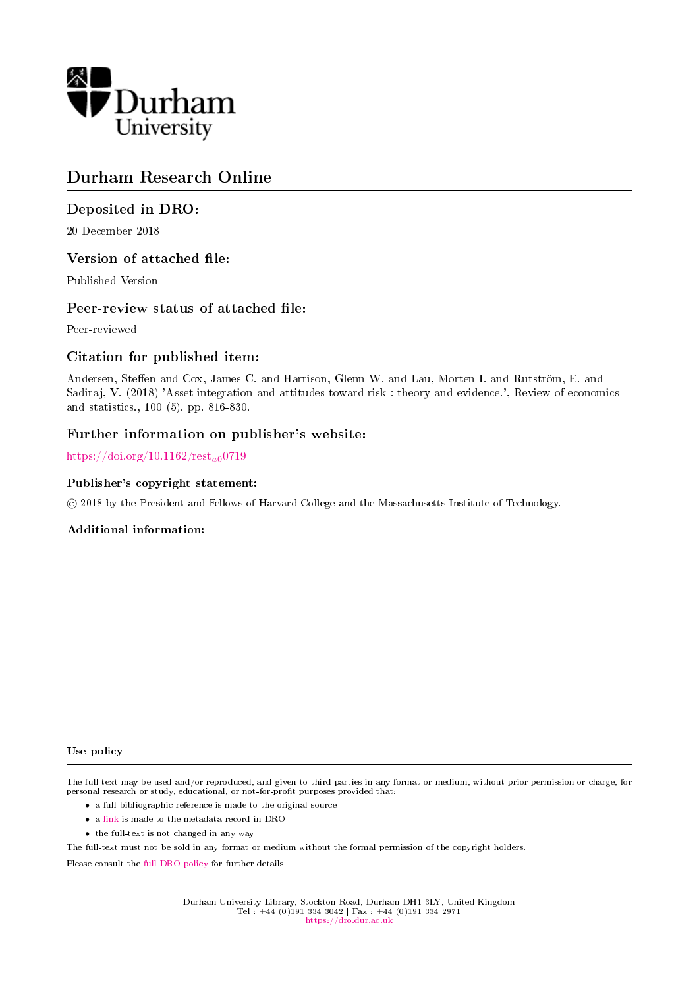

# Durham Research Online

# Deposited in DRO:

20 December 2018

# Version of attached file:

Published Version

# Peer-review status of attached file:

Peer-reviewed

# Citation for published item:

Andersen, Steffen and Cox, James C. and Harrison, Glenn W. and Lau, Morten I. and Rutström, E. and Sadiraj, V. (2018) 'Asset integration and attitudes toward risk : theory and evidence.', Review of economics and statistics., 100 (5). pp. 816-830.

# Further information on publisher's website:

https://doi.org/10.1162/ $rest_{a0}$ 0719

# Publisher's copyright statement:

c 2018 by the President and Fellows of Harvard College and the Massachusetts Institute of Technology.

# Additional information:

Use policy

The full-text may be used and/or reproduced, and given to third parties in any format or medium, without prior permission or charge, for personal research or study, educational, or not-for-profit purposes provided that:

- a full bibliographic reference is made to the original source
- a [link](http://dro.dur.ac.uk/23058/) is made to the metadata record in DRO
- the full-text is not changed in any way

The full-text must not be sold in any format or medium without the formal permission of the copyright holders.

Please consult the [full DRO policy](https://dro.dur.ac.uk/policies/usepolicy.pdf) for further details.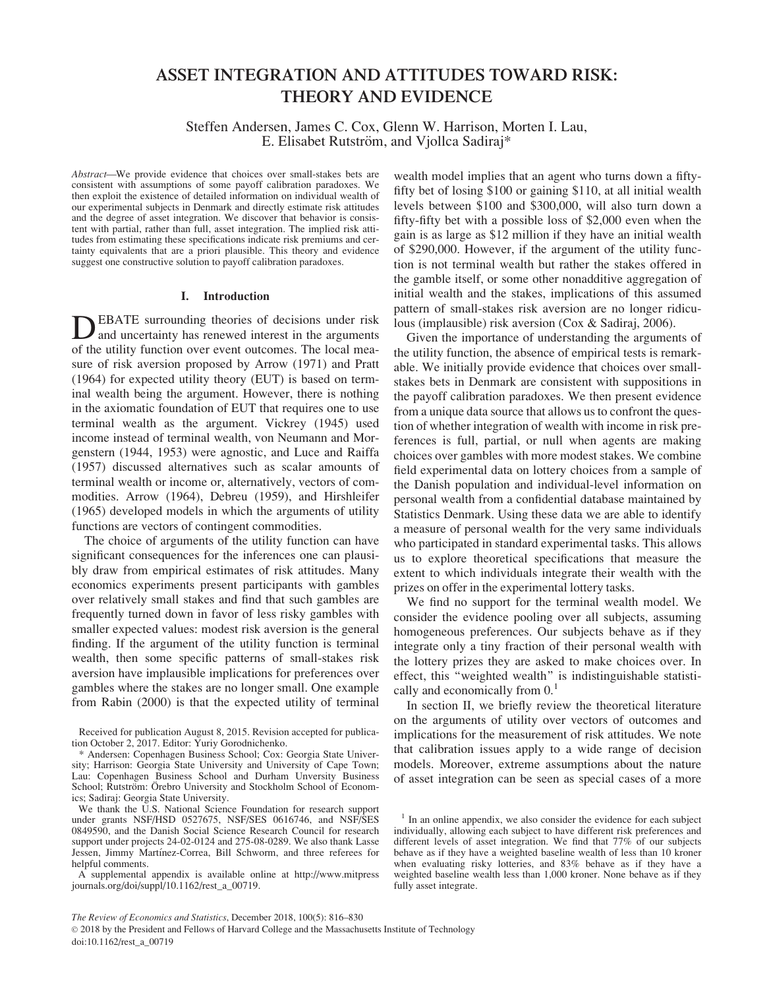# ASSET INTEGRATION AND ATTITUDES TOWARD RISK: THEORY AND EVIDENCE

Steffen Andersen, James C. Cox, Glenn W. Harrison, Morten I. Lau, E. Elisabet Rutström, and Vjollca Sadiraj\*

Abstract—We provide evidence that choices over small-stakes bets are consistent with assumptions of some payoff calibration paradoxes. We then exploit the existence of detailed information on individual wealth of our experimental subjects in Denmark and directly estimate risk attitudes and the degree of asset integration. We discover that behavior is consistent with partial, rather than full, asset integration. The implied risk attitudes from estimating these specifications indicate risk premiums and certainty equivalents that are a priori plausible. This theory and evidence suggest one constructive solution to payoff calibration paradoxes.

## I. Introduction

DEBATE surrounding theories of decisions under risk<br>and uncertainty has renewed interest in the arguments of the utility function over event outcomes. The local measure of risk aversion proposed by Arrow (1971) and Pratt (1964) for expected utility theory (EUT) is based on terminal wealth being the argument. However, there is nothing in the axiomatic foundation of EUT that requires one to use terminal wealth as the argument. Vickrey (1945) used income instead of terminal wealth, von Neumann and Morgenstern (1944, 1953) were agnostic, and Luce and Raiffa (1957) discussed alternatives such as scalar amounts of terminal wealth or income or, alternatively, vectors of commodities. Arrow (1964), Debreu (1959), and Hirshleifer (1965) developed models in which the arguments of utility functions are vectors of contingent commodities.

The choice of arguments of the utility function can have significant consequences for the inferences one can plausibly draw from empirical estimates of risk attitudes. Many economics experiments present participants with gambles over relatively small stakes and find that such gambles are frequently turned down in favor of less risky gambles with smaller expected values: modest risk aversion is the general finding. If the argument of the utility function is terminal wealth, then some specific patterns of small-stakes risk aversion have implausible implications for preferences over gambles where the stakes are no longer small. One example from Rabin (2000) is that the expected utility of terminal

A supplemental appendix is available online at [http://www.mitpress](http://www.mitpressjournals.org/doi/suppl/10.1162/rest_a_00719) [journals.org/doi/suppl/10.1162/rest\\_a\\_00719](http://www.mitpressjournals.org/doi/suppl/10.1162/rest_a_00719).

wealth model implies that an agent who turns down a fiftyfifty bet of losing \$100 or gaining \$110, at all initial wealth levels between \$100 and \$300,000, will also turn down a fifty-fifty bet with a possible loss of \$2,000 even when the gain is as large as \$12 million if they have an initial wealth of \$290,000. However, if the argument of the utility function is not terminal wealth but rather the stakes offered in the gamble itself, or some other nonadditive aggregation of initial wealth and the stakes, implications of this assumed pattern of small-stakes risk aversion are no longer ridiculous (implausible) risk aversion (Cox & Sadiraj, 2006).

Given the importance of understanding the arguments of the utility function, the absence of empirical tests is remarkable. We initially provide evidence that choices over smallstakes bets in Denmark are consistent with suppositions in the payoff calibration paradoxes. We then present evidence from a unique data source that allows us to confront the question of whether integration of wealth with income in risk preferences is full, partial, or null when agents are making choices over gambles with more modest stakes. We combine field experimental data on lottery choices from a sample of the Danish population and individual-level information on personal wealth from a confidential database maintained by Statistics Denmark. Using these data we are able to identify a measure of personal wealth for the very same individuals who participated in standard experimental tasks. This allows us to explore theoretical specifications that measure the extent to which individuals integrate their wealth with the prizes on offer in the experimental lottery tasks.

We find no support for the terminal wealth model. We consider the evidence pooling over all subjects, assuming homogeneous preferences. Our subjects behave as if they integrate only a tiny fraction of their personal wealth with the lottery prizes they are asked to make choices over. In effect, this ''weighted wealth'' is indistinguishable statistically and economically from  $0<sup>1</sup>$ 

In section II, we briefly review the theoretical literature on the arguments of utility over vectors of outcomes and implications for the measurement of risk attitudes. We note that calibration issues apply to a wide range of decision models. Moreover, extreme assumptions about the nature of asset integration can be seen as special cases of a more

Received for publication August 8, 2015. Revision accepted for publication October 2, 2017. Editor: Yuriy Gorodnichenko.

<sup>\*</sup> Andersen: Copenhagen Business School; Cox: Georgia State University; Harrison: Georgia State University and University of Cape Town; Lau: Copenhagen Business School and Durham Unversity Business School; Rutström: Örebro University and Stockholm School of Economics; Sadiraj: Georgia State University.

We thank the U.S. National Science Foundation for research support under grants NSF/HSD 0527675, NSF/SES 0616746, and NSF/SES 0849590, and the Danish Social Science Research Council for research support under projects 24-02-0124 and 275-08-0289. We also thank Lasse Jessen, Jimmy Martínez-Correa, Bill Schworm, and three referees for helpful comments.

 $<sup>1</sup>$  In an online appendix, we also consider the evidence for each subject</sup> individually, allowing each subject to have different risk preferences and different levels of asset integration. We find that 77% of our subjects behave as if they have a weighted baseline wealth of less than 10 kroner when evaluating risky lotteries, and 83% behave as if they have a weighted baseline wealth less than 1,000 kroner. None behave as if they fully asset integrate.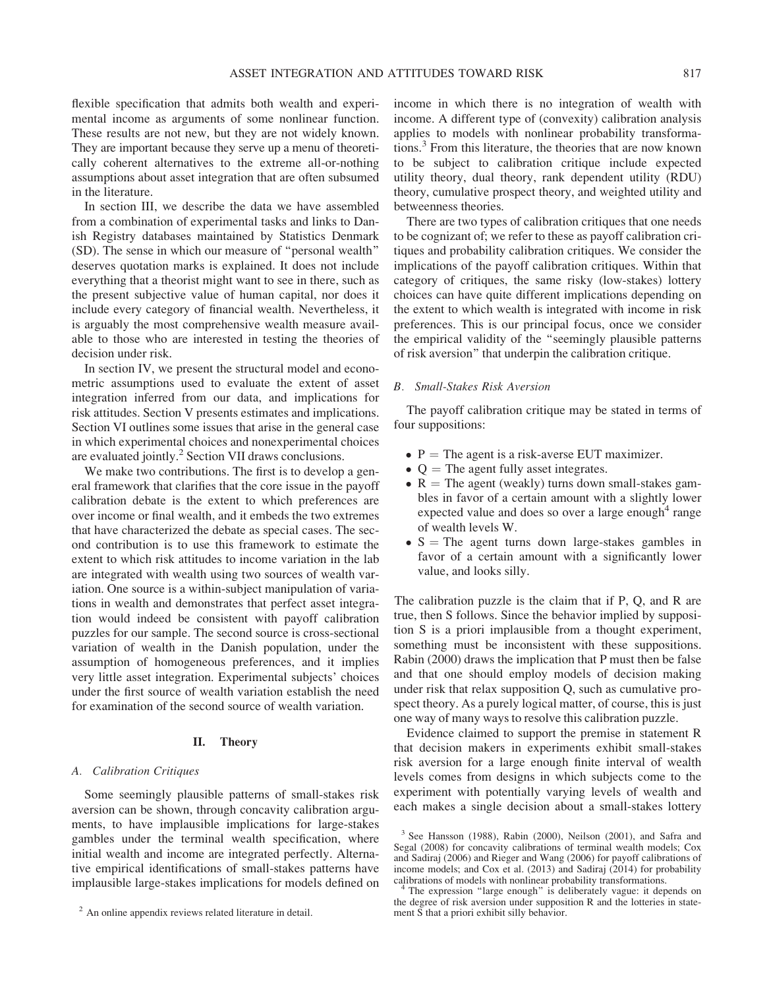flexible specification that admits both wealth and experimental income as arguments of some nonlinear function. These results are not new, but they are not widely known. They are important because they serve up a menu of theoretically coherent alternatives to the extreme all-or-nothing assumptions about asset integration that are often subsumed in the literature.

In section III, we describe the data we have assembled from a combination of experimental tasks and links to Danish Registry databases maintained by Statistics Denmark (SD). The sense in which our measure of ''personal wealth'' deserves quotation marks is explained. It does not include everything that a theorist might want to see in there, such as the present subjective value of human capital, nor does it include every category of financial wealth. Nevertheless, it is arguably the most comprehensive wealth measure available to those who are interested in testing the theories of decision under risk.

In section IV, we present the structural model and econometric assumptions used to evaluate the extent of asset integration inferred from our data, and implications for risk attitudes. Section V presents estimates and implications. Section VI outlines some issues that arise in the general case in which experimental choices and nonexperimental choices are evaluated jointly.<sup>2</sup> Section VII draws conclusions.

We make two contributions. The first is to develop a general framework that clarifies that the core issue in the payoff calibration debate is the extent to which preferences are over income or final wealth, and it embeds the two extremes that have characterized the debate as special cases. The second contribution is to use this framework to estimate the extent to which risk attitudes to income variation in the lab are integrated with wealth using two sources of wealth variation. One source is a within-subject manipulation of variations in wealth and demonstrates that perfect asset integration would indeed be consistent with payoff calibration puzzles for our sample. The second source is cross-sectional variation of wealth in the Danish population, under the assumption of homogeneous preferences, and it implies very little asset integration. Experimental subjects' choices under the first source of wealth variation establish the need for examination of the second source of wealth variation.

### II. Theory

#### A. Calibration Critiques

Some seemingly plausible patterns of small-stakes risk aversion can be shown, through concavity calibration arguments, to have implausible implications for large-stakes gambles under the terminal wealth specification, where initial wealth and income are integrated perfectly. Alternative empirical identifications of small-stakes patterns have implausible large-stakes implications for models defined on

income in which there is no integration of wealth with income. A different type of (convexity) calibration analysis applies to models with nonlinear probability transformations.<sup>3</sup> From this literature, the theories that are now known to be subject to calibration critique include expected utility theory, dual theory, rank dependent utility (RDU) theory, cumulative prospect theory, and weighted utility and betweenness theories.

There are two types of calibration critiques that one needs to be cognizant of; we refer to these as payoff calibration critiques and probability calibration critiques. We consider the implications of the payoff calibration critiques. Within that category of critiques, the same risky (low-stakes) lottery choices can have quite different implications depending on the extent to which wealth is integrated with income in risk preferences. This is our principal focus, once we consider the empirical validity of the ''seemingly plausible patterns of risk aversion'' that underpin the calibration critique.

# B. Small-Stakes Risk Aversion

The payoff calibration critique may be stated in terms of four suppositions:

- $\bullet$  P = The agent is a risk-averse EUT maximizer.
- $\bullet$  Q = The agent fully asset integrates.
- $R =$  The agent (weakly) turns down small-stakes gambles in favor of a certain amount with a slightly lower expected value and does so over a large enough<sup>4</sup> range of wealth levels W.
- $\bullet$  S = The agent turns down large-stakes gambles in favor of a certain amount with a significantly lower value, and looks silly.

The calibration puzzle is the claim that if P, Q, and R are true, then S follows. Since the behavior implied by supposition S is a priori implausible from a thought experiment, something must be inconsistent with these suppositions. Rabin (2000) draws the implication that P must then be false and that one should employ models of decision making under risk that relax supposition Q, such as cumulative prospect theory. As a purely logical matter, of course, this is just one way of many ways to resolve this calibration puzzle.

Evidence claimed to support the premise in statement R that decision makers in experiments exhibit small-stakes risk aversion for a large enough finite interval of wealth levels comes from designs in which subjects come to the experiment with potentially varying levels of wealth and each makes a single decision about a small-stakes lottery

<sup>&</sup>lt;sup>2</sup> An online appendix reviews related literature in detail.

<sup>3</sup> See Hansson (1988), Rabin (2000), Neilson (2001), and Safra and Segal (2008) for concavity calibrations of terminal wealth models; Cox and Sadiraj (2006) and Rieger and Wang (2006) for payoff calibrations of income models; and Cox et al. (2013) and Sadiraj (2014) for probability

The expression "large enough" is deliberately vague: it depends on the degree of risk aversion under supposition R and the lotteries in statement S that a priori exhibit silly behavior.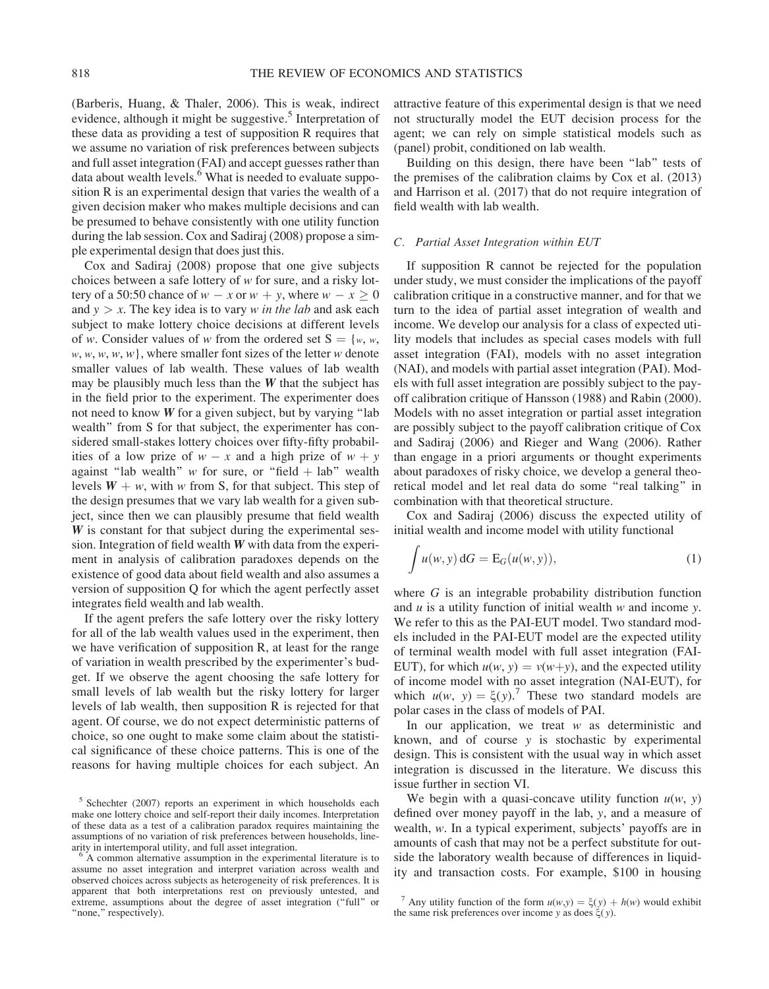(Barberis, Huang, & Thaler, 2006). This is weak, indirect evidence, although it might be suggestive.<sup>5</sup> Interpretation of these data as providing a test of supposition R requires that we assume no variation of risk preferences between subjects and full asset integration (FAI) and accept guesses rather than data about wealth levels.<sup>6</sup> What is needed to evaluate supposition R is an experimental design that varies the wealth of a given decision maker who makes multiple decisions and can be presumed to behave consistently with one utility function during the lab session. Cox and Sadiraj (2008) propose a simple experimental design that does just this.

Cox and Sadiraj (2008) propose that one give subjects choices between a safe lottery of w for sure, and a risky lottery of a 50:50 chance of  $w - x$  or  $w + y$ , where  $w - x \ge 0$ and  $y > x$ . The key idea is to vary w in the lab and ask each subject to make lottery choice decisions at different levels of w. Consider values of w from the ordered set  $S = \{w, w, \}$  $w, w, w, w, w$ , where smaller font sizes of the letter w denote smaller values of lab wealth. These values of lab wealth may be plausibly much less than the  $W$  that the subject has in the field prior to the experiment. The experimenter does not need to know  $W$  for a given subject, but by varying "lab wealth'' from S for that subject, the experimenter has considered small-stakes lottery choices over fifty-fifty probabilities of a low prize of  $w - x$  and a high prize of  $w + y$ against "lab wealth" w for sure, or "field  $+$  lab" wealth levels  $W + w$ , with w from S, for that subject. This step of the design presumes that we vary lab wealth for a given subject, since then we can plausibly presume that field wealth W is constant for that subject during the experimental session. Integration of field wealth  $W$  with data from the experiment in analysis of calibration paradoxes depends on the existence of good data about field wealth and also assumes a version of supposition Q for which the agent perfectly asset integrates field wealth and lab wealth.

If the agent prefers the safe lottery over the risky lottery for all of the lab wealth values used in the experiment, then we have verification of supposition R, at least for the range of variation in wealth prescribed by the experimenter's budget. If we observe the agent choosing the safe lottery for small levels of lab wealth but the risky lottery for larger levels of lab wealth, then supposition R is rejected for that agent. Of course, we do not expect deterministic patterns of choice, so one ought to make some claim about the statistical significance of these choice patterns. This is one of the reasons for having multiple choices for each subject. An attractive feature of this experimental design is that we need not structurally model the EUT decision process for the agent; we can rely on simple statistical models such as (panel) probit, conditioned on lab wealth.

Building on this design, there have been "lab" tests of the premises of the calibration claims by Cox et al. (2013) and Harrison et al. (2017) that do not require integration of field wealth with lab wealth.

### C. Partial Asset Integration within EUT

If supposition R cannot be rejected for the population under study, we must consider the implications of the payoff calibration critique in a constructive manner, and for that we turn to the idea of partial asset integration of wealth and income. We develop our analysis for a class of expected utility models that includes as special cases models with full asset integration (FAI), models with no asset integration (NAI), and models with partial asset integration (PAI). Models with full asset integration are possibly subject to the payoff calibration critique of Hansson (1988) and Rabin (2000). Models with no asset integration or partial asset integration are possibly subject to the payoff calibration critique of Cox and Sadiraj (2006) and Rieger and Wang (2006). Rather than engage in a priori arguments or thought experiments about paradoxes of risky choice, we develop a general theoretical model and let real data do some ''real talking'' in combination with that theoretical structure.

Cox and Sadiraj (2006) discuss the expected utility of initial wealth and income model with utility functional

$$
\int u(w, y) dG = E_G(u(w, y)), \qquad (1)
$$

where G is an integrable probability distribution function and  $u$  is a utility function of initial wealth  $w$  and income  $y$ . We refer to this as the PAI-EUT model. Two standard models included in the PAI-EUT model are the expected utility of terminal wealth model with full asset integration (FAI-EUT), for which  $u(w, y) = v(w+y)$ , and the expected utility of income model with no asset integration (NAI-EUT), for which  $u(w, y) = \xi(y)$ .<sup>7</sup> These two standard models are polar cases in the class of models of PAI.

In our application, we treat  $w$  as deterministic and known, and of course y is stochastic by experimental design. This is consistent with the usual way in which asset integration is discussed in the literature. We discuss this issue further in section VI.

We begin with a quasi-concave utility function  $u(w, y)$ defined over money payoff in the lab, y, and a measure of wealth, w. In a typical experiment, subjects' payoffs are in amounts of cash that may not be a perfect substitute for outside the laboratory wealth because of differences in liquidity and transaction costs. For example, \$100 in housing

<sup>5</sup> Schechter (2007) reports an experiment in which households each make one lottery choice and self-report their daily incomes. Interpretation of these data as a test of a calibration paradox requires maintaining the assumptions of no variation of risk preferences between households, line-<br>arity in intertemporal utility, and full asset integration.

 $6$  A common alternative assumption in the experimental literature is to assume no asset integration and interpret variation across wealth and observed choices across subjects as heterogeneity of risk preferences. It is apparent that both interpretations rest on previously untested, and extreme, assumptions about the degree of asset integration ("full" or "none," respectively).

<sup>&</sup>lt;sup>7</sup> Any utility function of the form  $u(w,y) = \xi(y) + h(w)$  would exhibit the same risk preferences over income y as does  $\xi(y)$ .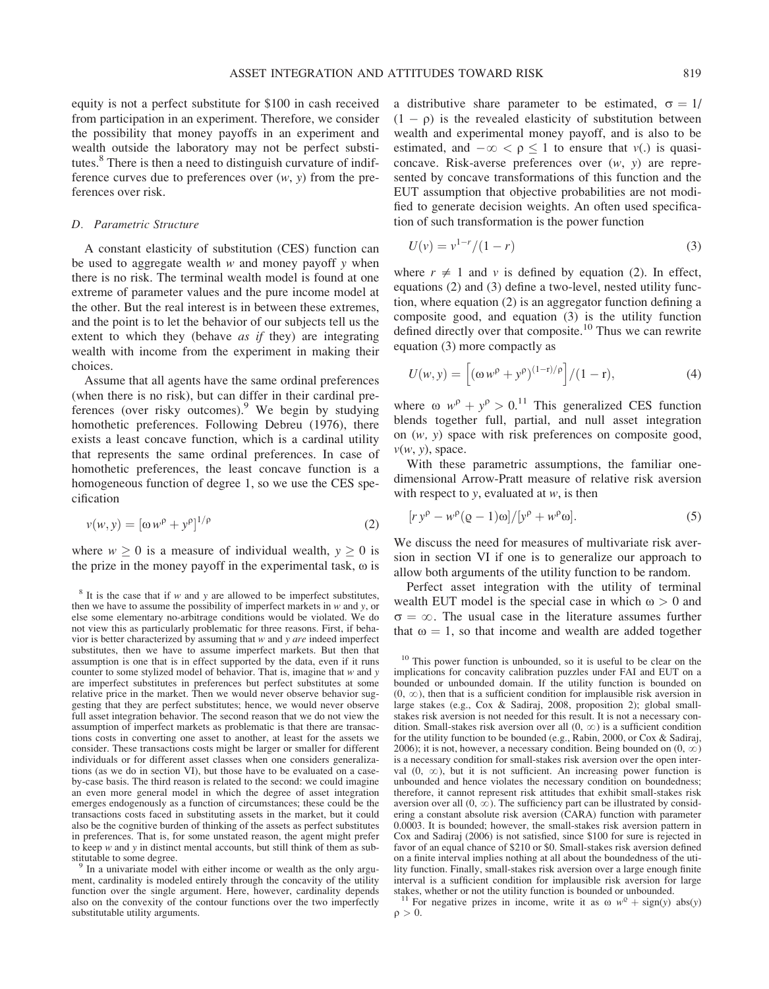equity is not a perfect substitute for \$100 in cash received from participation in an experiment. Therefore, we consider the possibility that money payoffs in an experiment and wealth outside the laboratory may not be perfect substitutes.<sup>8</sup> There is then a need to distinguish curvature of indifference curves due to preferences over  $(w, y)$  from the preferences over risk.

# D. Parametric Structure

A constant elasticity of substitution (CES) function can be used to aggregate wealth  $w$  and money payoff  $y$  when there is no risk. The terminal wealth model is found at one extreme of parameter values and the pure income model at the other. But the real interest is in between these extremes, and the point is to let the behavior of our subjects tell us the extent to which they (behave *as if* they) are integrating wealth with income from the experiment in making their choices.

Assume that all agents have the same ordinal preferences (when there is no risk), but can differ in their cardinal preferences (over risky outcomes). We begin by studying homothetic preferences. Following Debreu (1976), there exists a least concave function, which is a cardinal utility that represents the same ordinal preferences. In case of homothetic preferences, the least concave function is a homogeneous function of degree 1, so we use the CES specification

$$
v(w, y) = \left[\omega w^{\rho} + y^{\rho}\right]^{1/\rho} \tag{2}
$$

where  $w \ge 0$  is a measure of individual wealth,  $y \ge 0$  is the prize in the money payoff in the experimental task,  $\omega$  is

ment, cardinality is modeled entirely through the concavity of the utility function over the single argument. Here, however, cardinality depends also on the convexity of the contour functions over the two imperfectly substitutable utility arguments.

a distributive share parameter to be estimated,  $\sigma = 1/$  $(1 - \rho)$  is the revealed elasticity of substitution between wealth and experimental money payoff, and is also to be estimated, and  $-\infty < \rho \le 1$  to ensure that  $v(.)$  is quasiconcave. Risk-averse preferences over (w, y) are represented by concave transformations of this function and the EUT assumption that objective probabilities are not modified to generate decision weights. An often used specification of such transformation is the power function

$$
U(v) = v^{1-r}/(1-r)
$$
 (3)

where  $r \neq 1$  and v is defined by equation (2). In effect, equations (2) and (3) define a two-level, nested utility function, where equation (2) is an aggregator function defining a composite good, and equation (3) is the utility function defined directly over that composite.<sup>10</sup> Thus we can rewrite equation (3) more compactly as

$$
U(w, y) = \left[ (\omega w^{\rho} + y^{\rho})^{(1-r)/\rho} \right] / (1 - r), \tag{4}
$$

where  $\omega w^{\rho} + y^{\rho} > 0$ .<sup>11</sup> This generalized CES function blends together full, partial, and null asset integration on (w, y) space with risk preferences on composite good,  $v(w, y)$ , space.

With these parametric assumptions, the familiar onedimensional Arrow-Pratt measure of relative risk aversion with respect to  $y$ , evaluated at  $w$ , is then

$$
[r y\rho - w\rho (Q - 1) \omega]/[y\rho + w\rho \omega].
$$
 (5)

We discuss the need for measures of multivariate risk aversion in section VI if one is to generalize our approach to allow both arguments of the utility function to be random.

Perfect asset integration with the utility of terminal wealth EUT model is the special case in which  $\omega > 0$  and  $\sigma = \infty$ . The usual case in the literature assumes further that  $\omega = 1$ , so that income and wealth are added together

 $8$  It is the case that if w and y are allowed to be imperfect substitutes, then we have to assume the possibility of imperfect markets in  $w$  and  $y$ , or else some elementary no-arbitrage conditions would be violated. We do not view this as particularly problematic for three reasons. First, if behavior is better characterized by assuming that  $w$  and  $y$  *are* indeed imperfect substitutes, then we have to assume imperfect markets. But then that assumption is one that is in effect supported by the data, even if it runs counter to some stylized model of behavior. That is, imagine that w and y are imperfect substitutes in preferences but perfect substitutes at some relative price in the market. Then we would never observe behavior suggesting that they are perfect substitutes; hence, we would never observe full asset integration behavior. The second reason that we do not view the assumption of imperfect markets as problematic is that there are transactions costs in converting one asset to another, at least for the assets we consider. These transactions costs might be larger or smaller for different individuals or for different asset classes when one considers generalizations (as we do in section VI), but those have to be evaluated on a caseby-case basis. The third reason is related to the second: we could imagine an even more general model in which the degree of asset integration emerges endogenously as a function of circumstances; these could be the transactions costs faced in substituting assets in the market, but it could also be the cognitive burden of thinking of the assets as perfect substitutes in preferences. That is, for some unstated reason, the agent might prefer to keep  $w$  and  $y$  in distinct mental accounts, but still think of them as substitutable to some degree.<br><sup>9</sup> In a univariate model with either income or wealth as the only argu-

<sup>&</sup>lt;sup>10</sup> This power function is unbounded, so it is useful to be clear on the implications for concavity calibration puzzles under FAI and EUT on a bounded or unbounded domain. If the utility function is bounded on  $(0, \infty)$ , then that is a sufficient condition for implausible risk aversion in large stakes (e.g., Cox & Sadiraj, 2008, proposition 2); global smallstakes risk aversion is not needed for this result. It is not a necessary condition. Small-stakes risk aversion over all  $(0, \infty)$  is a sufficient condition for the utility function to be bounded (e.g., Rabin, 2000, or Cox & Sadiraj, 2006); it is not, however, a necessary condition. Being bounded on  $(0, \infty)$ is a necessary condition for small-stakes risk aversion over the open interval  $(0, \infty)$ , but it is not sufficient. An increasing power function is unbounded and hence violates the necessary condition on boundedness; therefore, it cannot represent risk attitudes that exhibit small-stakes risk aversion over all  $(0, \infty)$ . The sufficiency part can be illustrated by considering a constant absolute risk aversion (CARA) function with parameter 0.0003. It is bounded; however, the small-stakes risk aversion pattern in Cox and Sadiraj (2006) is not satisfied, since \$100 for sure is rejected in favor of an equal chance of \$210 or \$0. Small-stakes risk aversion defined on a finite interval implies nothing at all about the boundedness of the utility function. Finally, small-stakes risk aversion over a large enough finite interval is a sufficient condition for implausible risk aversion for large stakes, whether or not the utility function is bounded or unbounded. <sup>11</sup> For negative prizes in income, write it as  $\omega w^{\circ} + \text{sign}(y)$  abs(y)

 $\rho > 0$ .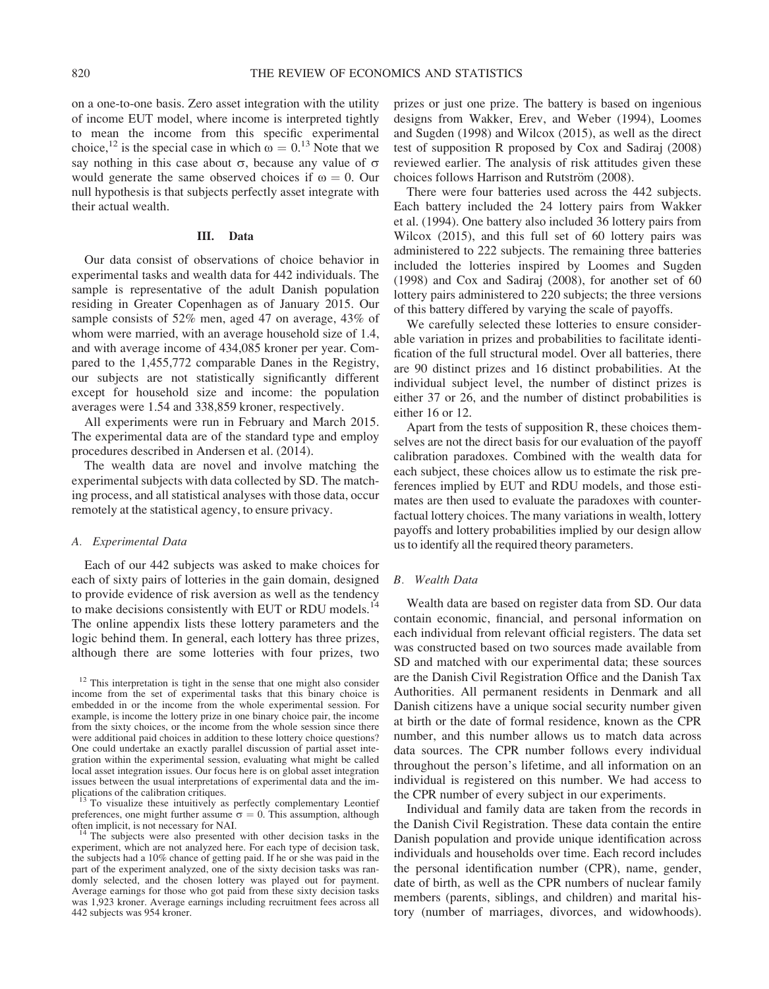on a one-to-one basis. Zero asset integration with the utility of income EUT model, where income is interpreted tightly to mean the income from this specific experimental choice,<sup>12</sup> is the special case in which  $\omega = 0$ .<sup>13</sup> Note that we say nothing in this case about  $\sigma$ , because any value of  $\sigma$ would generate the same observed choices if  $\omega = 0$ . Our null hypothesis is that subjects perfectly asset integrate with their actual wealth.

## III. Data

Our data consist of observations of choice behavior in experimental tasks and wealth data for 442 individuals. The sample is representative of the adult Danish population residing in Greater Copenhagen as of January 2015. Our sample consists of 52% men, aged 47 on average, 43% of whom were married, with an average household size of 1.4, and with average income of 434,085 kroner per year. Compared to the 1,455,772 comparable Danes in the Registry, our subjects are not statistically significantly different except for household size and income: the population averages were 1.54 and 338,859 kroner, respectively.

All experiments were run in February and March 2015. The experimental data are of the standard type and employ procedures described in Andersen et al. (2014).

The wealth data are novel and involve matching the experimental subjects with data collected by SD. The matching process, and all statistical analyses with those data, occur remotely at the statistical agency, to ensure privacy.

# A. Experimental Data

Each of our 442 subjects was asked to make choices for each of sixty pairs of lotteries in the gain domain, designed to provide evidence of risk aversion as well as the tendency to make decisions consistently with EUT or RDU models.<sup>1</sup> The online appendix lists these lottery parameters and the logic behind them. In general, each lottery has three prizes, although there are some lotteries with four prizes, two

To visualize these intuitively as perfectly complementary Leontief preferences, one might further assume  $\sigma = 0$ . This assumption, although often implicit, is not necessary for NAI.

The subjects were also presented with other decision tasks in the experiment, which are not analyzed here. For each type of decision task, the subjects had a 10% chance of getting paid. If he or she was paid in the part of the experiment analyzed, one of the sixty decision tasks was randomly selected, and the chosen lottery was played out for payment. Average earnings for those who got paid from these sixty decision tasks was 1,923 kroner. Average earnings including recruitment fees across all 442 subjects was 954 kroner.

prizes or just one prize. The battery is based on ingenious designs from Wakker, Erev, and Weber (1994), Loomes and Sugden (1998) and Wilcox (2015), as well as the direct test of supposition R proposed by Cox and Sadiraj (2008) reviewed earlier. The analysis of risk attitudes given these choices follows Harrison and Rutström (2008).

There were four batteries used across the 442 subjects. Each battery included the 24 lottery pairs from Wakker et al. (1994). One battery also included 36 lottery pairs from Wilcox (2015), and this full set of 60 lottery pairs was administered to 222 subjects. The remaining three batteries included the lotteries inspired by Loomes and Sugden (1998) and Cox and Sadiraj (2008), for another set of 60 lottery pairs administered to 220 subjects; the three versions of this battery differed by varying the scale of payoffs.

We carefully selected these lotteries to ensure considerable variation in prizes and probabilities to facilitate identification of the full structural model. Over all batteries, there are 90 distinct prizes and 16 distinct probabilities. At the individual subject level, the number of distinct prizes is either 37 or 26, and the number of distinct probabilities is either 16 or 12.

Apart from the tests of supposition R, these choices themselves are not the direct basis for our evaluation of the payoff calibration paradoxes. Combined with the wealth data for each subject, these choices allow us to estimate the risk preferences implied by EUT and RDU models, and those estimates are then used to evaluate the paradoxes with counterfactual lottery choices. The many variations in wealth, lottery payoffs and lottery probabilities implied by our design allow us to identify all the required theory parameters.

### B. Wealth Data

Wealth data are based on register data from SD. Our data contain economic, financial, and personal information on each individual from relevant official registers. The data set was constructed based on two sources made available from SD and matched with our experimental data; these sources are the Danish Civil Registration Office and the Danish Tax Authorities. All permanent residents in Denmark and all Danish citizens have a unique social security number given at birth or the date of formal residence, known as the CPR number, and this number allows us to match data across data sources. The CPR number follows every individual throughout the person's lifetime, and all information on an individual is registered on this number. We had access to the CPR number of every subject in our experiments.

Individual and family data are taken from the records in the Danish Civil Registration. These data contain the entire Danish population and provide unique identification across individuals and households over time. Each record includes the personal identification number (CPR), name, gender, date of birth, as well as the CPR numbers of nuclear family members (parents, siblings, and children) and marital history (number of marriages, divorces, and widowhoods).

<sup>&</sup>lt;sup>12</sup> This interpretation is tight in the sense that one might also consider income from the set of experimental tasks that this binary choice is embedded in or the income from the whole experimental session. For example, is income the lottery prize in one binary choice pair, the income from the sixty choices, or the income from the whole session since there were additional paid choices in addition to these lottery choice questions? One could undertake an exactly parallel discussion of partial asset integration within the experimental session, evaluating what might be called local asset integration issues. Our focus here is on global asset integration issues between the usual interpretations of experimental data and the im-<br>plications of the calibration critiques.<br> $\frac{13}{12}$  To visualize these interiors is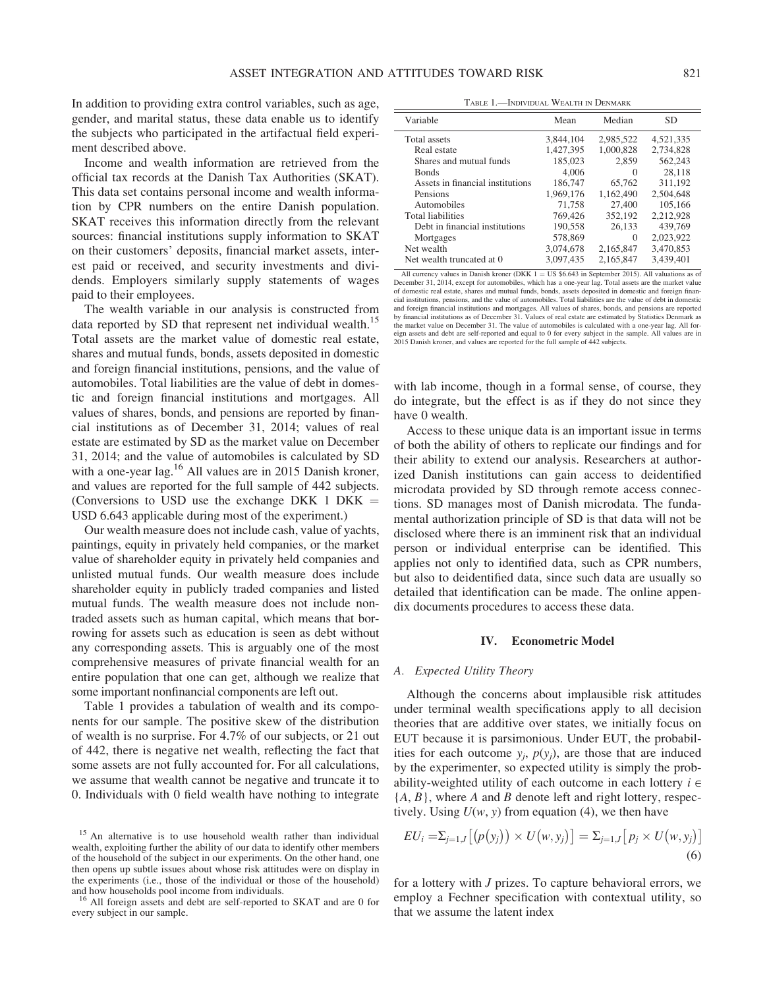In addition to providing extra control variables, such as age, gender, and marital status, these data enable us to identify the subjects who participated in the artifactual field experiment described above.

Income and wealth information are retrieved from the official tax records at the Danish Tax Authorities (SKAT). This data set contains personal income and wealth information by CPR numbers on the entire Danish population. SKAT receives this information directly from the relevant sources: financial institutions supply information to SKAT on their customers' deposits, financial market assets, interest paid or received, and security investments and dividends. Employers similarly supply statements of wages paid to their employees.

The wealth variable in our analysis is constructed from data reported by SD that represent net individual wealth.<sup>15</sup> Total assets are the market value of domestic real estate, shares and mutual funds, bonds, assets deposited in domestic and foreign financial institutions, pensions, and the value of automobiles. Total liabilities are the value of debt in domestic and foreign financial institutions and mortgages. All values of shares, bonds, and pensions are reported by financial institutions as of December 31, 2014; values of real estate are estimated by SD as the market value on December 31, 2014; and the value of automobiles is calculated by SD with a one-year lag.<sup>16</sup> All values are in 2015 Danish kroner, and values are reported for the full sample of 442 subjects. (Conversions to USD use the exchange DKK 1 DKK  $=$ USD 6.643 applicable during most of the experiment.)

Our wealth measure does not include cash, value of yachts, paintings, equity in privately held companies, or the market value of shareholder equity in privately held companies and unlisted mutual funds. Our wealth measure does include shareholder equity in publicly traded companies and listed mutual funds. The wealth measure does not include nontraded assets such as human capital, which means that borrowing for assets such as education is seen as debt without any corresponding assets. This is arguably one of the most comprehensive measures of private financial wealth for an entire population that one can get, although we realize that some important nonfinancial components are left out.

Table 1 provides a tabulation of wealth and its components for our sample. The positive skew of the distribution of wealth is no surprise. For 4.7% of our subjects, or 21 out of 442, there is negative net wealth, reflecting the fact that some assets are not fully accounted for. For all calculations, we assume that wealth cannot be negative and truncate it to 0. Individuals with 0 field wealth have nothing to integrate

TABLE 1.—INDIVIDUAL WEALTH IN DENMARK

| Variable                         | Mean      | Median    | <b>SD</b> |
|----------------------------------|-----------|-----------|-----------|
| Total assets                     | 3.844.104 | 2,985,522 | 4,521,335 |
| Real estate                      | 1,427,395 | 1.000.828 | 2,734,828 |
| Shares and mutual funds          | 185,023   | 2.859     | 562,243   |
| <b>Bonds</b>                     | 4.006     | $\Omega$  | 28,118    |
| Assets in financial institutions | 186,747   | 65,762    | 311,192   |
| Pensions                         | 1.969.176 | 1.162.490 | 2.504.648 |
| Automobiles                      | 71,758    | 27,400    | 105,166   |
| <b>Total liabilities</b>         | 769,426   | 352,192   | 2,212,928 |
| Debt in financial institutions   | 190.558   | 26.133    | 439,769   |
| Mortgages                        | 578,869   | $\Omega$  | 2,023,922 |
| Net wealth                       | 3.074.678 | 2,165,847 | 3,470,853 |
| Net wealth truncated at 0        | 3.097.435 | 2.165.847 | 3.439.401 |

All currency values in Danish kroner (DKK  $1 = US $6.643$  in September 2015). All valuations as of December 31, 2014, except for automobiles, which has a one-year lag. Total assets are the market value of domestic real estate, shares and mutual funds, bonds, assets deposited in domestic and foreign financial institutions, pensions, and the value of automobiles. Total liabilities are the value of debt in domestic and foreign financial institutions and mortgages. All values of shares, bonds, and pensions are reported by financial institutions as of December 31. Values of real estate are estimated by Statistics Denmark as the market value on December 31. The value of automobiles is calculated with a one-year lag. All for-eign assets and debt are self-reported and equal to 0 for every subject in the sample. All values are in 2015 Danish kroner, and values are reported for the full sample of 442 subjects.

with lab income, though in a formal sense, of course, they do integrate, but the effect is as if they do not since they have 0 wealth.

Access to these unique data is an important issue in terms of both the ability of others to replicate our findings and for their ability to extend our analysis. Researchers at authorized Danish institutions can gain access to deidentified microdata provided by SD through remote access connections. SD manages most of Danish microdata. The fundamental authorization principle of SD is that data will not be disclosed where there is an imminent risk that an individual person or individual enterprise can be identified. This applies not only to identified data, such as CPR numbers, but also to deidentified data, since such data are usually so detailed that identification can be made. The online appendix documents procedures to access these data.

#### IV. Econometric Model

#### A. Expected Utility Theory

Although the concerns about implausible risk attitudes under terminal wealth specifications apply to all decision theories that are additive over states, we initially focus on EUT because it is parsimonious. Under EUT, the probabilities for each outcome  $y_i$ ,  $p(y_i)$ , are those that are induced by the experimenter, so expected utility is simply the probability-weighted utility of each outcome in each lottery  $i \in$  ${A, B}$ , where A and B denote left and right lottery, respectively. Using  $U(w, y)$  from equation (4), we then have

$$
EU_i = \sum_{j=1,J} \left[ \left( p(y_j) \right) \times U(w, y_j) \right] = \sum_{j=1,J} \left[ p_j \times U(w, y_j) \right] \tag{6}
$$

for a lottery with *J* prizes. To capture behavioral errors, we employ a Fechner specification with contextual utility, so that we assume the latent index

<sup>&</sup>lt;sup>15</sup> An alternative is to use household wealth rather than individual wealth, exploiting further the ability of our data to identify other members of the household of the subject in our experiments. On the other hand, one then opens up subtle issues about whose risk attitudes were on display in the experiments (i.e., those of the individual or those of the household) and how households pool income from individuals.<br><sup>16</sup> All foreign assets and debt are self-reported to SKAT and are 0 for

every subject in our sample.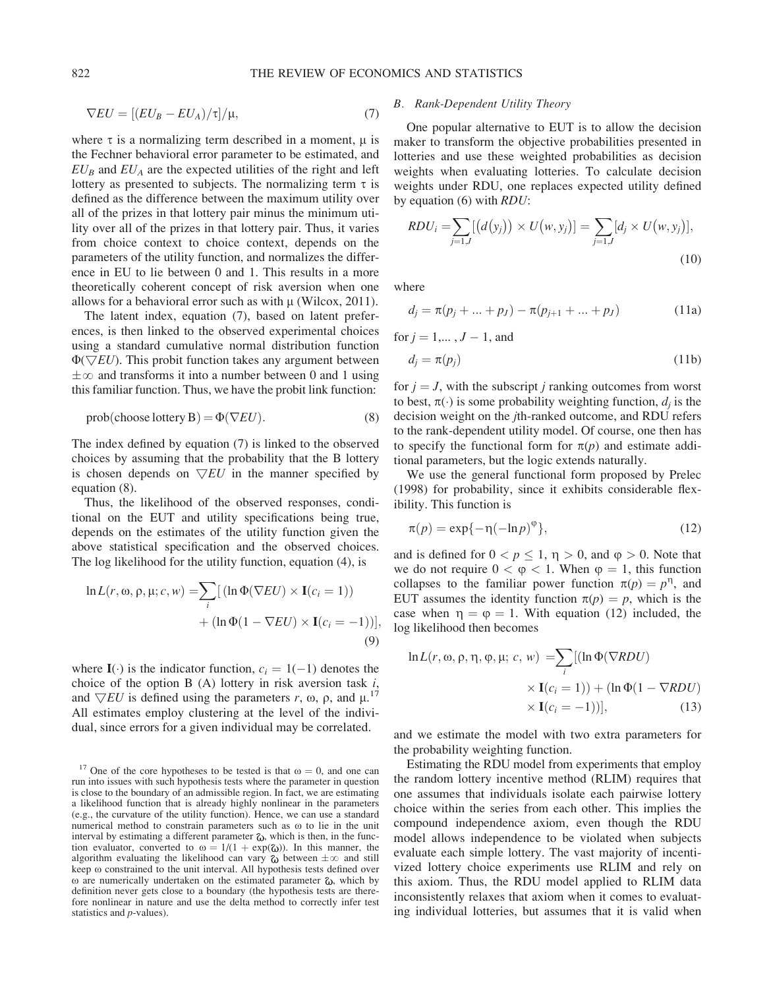$$
\nabla EU = [(EU_B - EU_A)/\tau]/\mu,
$$
\n(7)

where  $\tau$  is a normalizing term described in a moment,  $\mu$  is the Fechner behavioral error parameter to be estimated, and  $EU_B$  and  $EU_A$  are the expected utilities of the right and left lottery as presented to subjects. The normalizing term  $\tau$  is defined as the difference between the maximum utility over all of the prizes in that lottery pair minus the minimum utility over all of the prizes in that lottery pair. Thus, it varies from choice context to choice context, depends on the parameters of the utility function, and normalizes the difference in EU to lie between 0 and 1. This results in a more theoretically coherent concept of risk aversion when one allows for a behavioral error such as with  $\mu$  (Wilcox, 2011).

The latent index, equation (7), based on latent preferences, is then linked to the observed experimental choices using a standard cumulative normal distribution function  $\Phi(\nabla EU)$ . This probit function takes any argument between  $\pm \infty$  and transforms it into a number between 0 and 1 using this familiar function. Thus, we have the probit link function:

$$
prob(choose lottery B) = \Phi(\nabla EU). \tag{8}
$$

The index defined by equation (7) is linked to the observed choices by assuming that the probability that the B lottery is chosen depends on  $\nabla EU$  in the manner specified by equation (8).

Thus, the likelihood of the observed responses, conditional on the EUT and utility specifications being true, depends on the estimates of the utility function given the above statistical specification and the observed choices. The log likelihood for the utility function, equation (4), is

$$
\ln L(r, \omega, \rho, \mu; c, w) = \sum_{i} \left[ (\ln \Phi(\nabla EU) \times \mathbf{I}(c_i = 1)) + (\ln \Phi(1 - \nabla EU) \times \mathbf{I}(c_i = -1)) \right],
$$
\n(9)

where  $I(\cdot)$  is the indicator function,  $c_i = 1(-1)$  denotes the choice of the option  $B(A)$  lottery in risk aversion task  $i$ , and  $\nabla EU$  is defined using the parameters r,  $\omega$ ,  $\rho$ , and  $\mu$ .<sup>17</sup> All estimates employ clustering at the level of the individual, since errors for a given individual may be correlated.

# B. Rank-Dependent Utility Theory

One popular alternative to EUT is to allow the decision maker to transform the objective probabilities presented in lotteries and use these weighted probabilities as decision weights when evaluating lotteries. To calculate decision weights under RDU, one replaces expected utility defined by equation  $(6)$  with  $RDU$ :

$$
RDU_{i} = \sum_{j=1,J} [(d(y_{j})) \times U(w, y_{j})] = \sum_{j=1,J} [d_{j} \times U(w, y_{j})],
$$
\n(10)

where

$$
d_j = \pi(p_j + \dots + p_j) - \pi(p_{j+1} + \dots + p_j)
$$
 (11a)

for  $j = 1,..., J - 1$ , and

$$
d_j = \pi(p_j) \tag{11b}
$$

for  $j = J$ , with the subscript j ranking outcomes from worst to best,  $\pi(\cdot)$  is some probability weighting function,  $d_i$  is the decision weight on the jth-ranked outcome, and RDU refers to the rank-dependent utility model. Of course, one then has to specify the functional form for  $\pi(p)$  and estimate additional parameters, but the logic extends naturally.

We use the general functional form proposed by Prelec (1998) for probability, since it exhibits considerable flexibility. This function is

$$
\pi(p) = \exp\{-\eta(-\ln p)^{\varphi}\},\tag{12}
$$

and is defined for  $0 < p \le 1$ ,  $\eta > 0$ , and  $\varphi > 0$ . Note that we do not require  $0 < \varphi < 1$ . When  $\varphi = 1$ , this function collapses to the familiar power function  $\pi(p) = p^{\eta}$ , and EUT assumes the identity function  $\pi(p) = p$ , which is the case when  $\eta = \varphi = 1$ . With equation (12) included, the log likelihood then becomes

$$
\ln L(r, \omega, \rho, \eta, \varphi, \mu; c, w) = \sum_{i} [(\ln \Phi(\nabla RDU) \times \mathbf{I}(c_i = 1)) + (\ln \Phi(1 - \nabla RDU) \times \mathbf{I}(c_i = -1))],
$$
\n(13)

and we estimate the model with two extra parameters for the probability weighting function.

Estimating the RDU model from experiments that employ the random lottery incentive method (RLIM) requires that one assumes that individuals isolate each pairwise lottery choice within the series from each other. This implies the compound independence axiom, even though the RDU model allows independence to be violated when subjects evaluate each simple lottery. The vast majority of incentivized lottery choice experiments use RLIM and rely on this axiom. Thus, the RDU model applied to RLIM data inconsistently relaxes that axiom when it comes to evaluating individual lotteries, but assumes that it is valid when

<sup>&</sup>lt;sup>17</sup> One of the core hypotheses to be tested is that  $\omega = 0$ , and one can run into issues with such hypothesis tests where the parameter in question is close to the boundary of an admissible region. In fact, we are estimating a likelihood function that is already highly nonlinear in the parameters (e.g., the curvature of the utility function). Hence, we can use a standard numerical method to constrain parameters such as o to lie in the unit interval by estimating a different parameter  $\omega$ , which is then, in the function evaluator, converted to  $\omega = 1/(1 + \exp(\zeta_0))$ . In this manner, the algorithm evaluating the likelihood can vary  $\omega$  between  $\pm \infty$  and still keep  $\omega$  constrained to the unit interval. All hypothesis tests defined over  $\omega$  are numerically undertaken on the estimated parameter  $\omega$ , which by definition never gets close to a boundary (the hypothesis tests are therefore nonlinear in nature and use the delta method to correctly infer test statistics and p-values).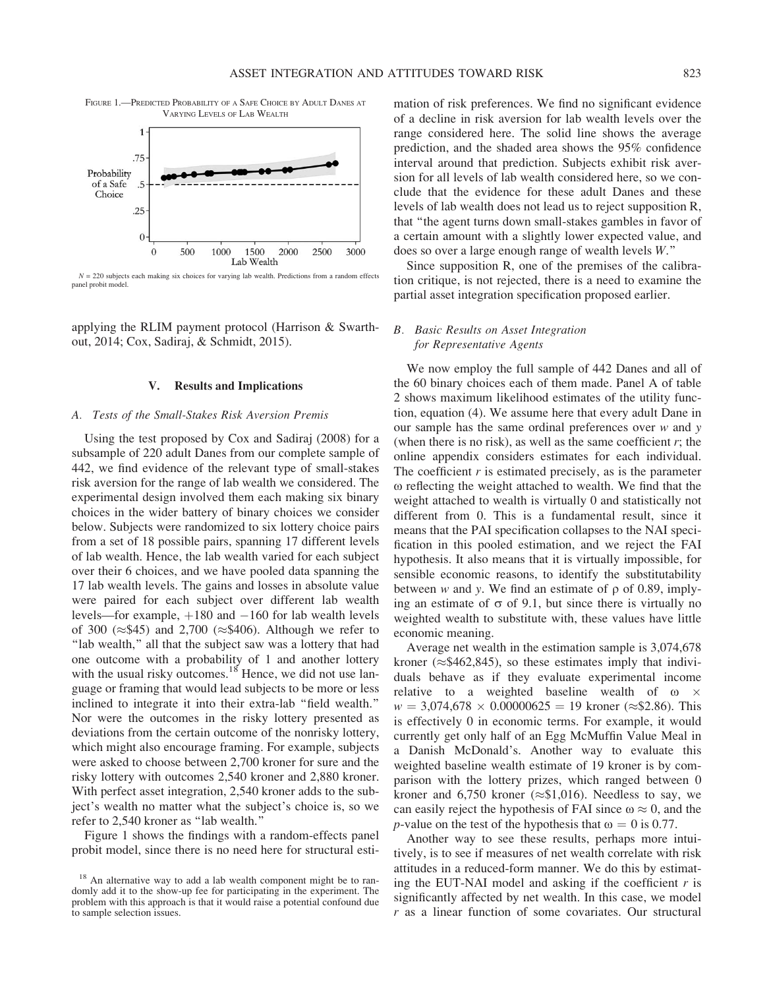FIGURE 1.—PREDICTED PROBABILITY OF A SAFE CHOICE BY ADULT DANES AT VARYING LEVELS OF LAB WEALTH



 $N = 220$  subjects each making six choices for varying lab wealth. Predictions from a random effects panel probit model.

applying the RLIM payment protocol (Harrison & Swarthout, 2014; Cox, Sadiraj, & Schmidt, 2015).

## V. Results and Implications

#### A. Tests of the Small-Stakes Risk Aversion Premis

Using the test proposed by Cox and Sadiraj (2008) for a subsample of 220 adult Danes from our complete sample of 442, we find evidence of the relevant type of small-stakes risk aversion for the range of lab wealth we considered. The experimental design involved them each making six binary choices in the wider battery of binary choices we consider below. Subjects were randomized to six lottery choice pairs from a set of 18 possible pairs, spanning 17 different levels of lab wealth. Hence, the lab wealth varied for each subject over their 6 choices, and we have pooled data spanning the 17 lab wealth levels. The gains and losses in absolute value were paired for each subject over different lab wealth levels—for example,  $+180$  and  $-160$  for lab wealth levels of 300 ( $\approx$ \$45) and 2,700 ( $\approx$ \$406). Although we refer to "lab wealth," all that the subject saw was a lottery that had one outcome with a probability of 1 and another lottery with the usual risky outcomes.<sup>18</sup> Hence, we did not use language or framing that would lead subjects to be more or less inclined to integrate it into their extra-lab ''field wealth.'' Nor were the outcomes in the risky lottery presented as deviations from the certain outcome of the nonrisky lottery, which might also encourage framing. For example, subjects were asked to choose between 2,700 kroner for sure and the risky lottery with outcomes 2,540 kroner and 2,880 kroner. With perfect asset integration, 2,540 kroner adds to the subject's wealth no matter what the subject's choice is, so we refer to 2,540 kroner as ''lab wealth.''

Figure 1 shows the findings with a random-effects panel probit model, since there is no need here for structural esti-

mation of risk preferences. We find no significant evidence of a decline in risk aversion for lab wealth levels over the range considered here. The solid line shows the average prediction, and the shaded area shows the 95% confidence interval around that prediction. Subjects exhibit risk aversion for all levels of lab wealth considered here, so we conclude that the evidence for these adult Danes and these levels of lab wealth does not lead us to reject supposition R, that ''the agent turns down small-stakes gambles in favor of a certain amount with a slightly lower expected value, and does so over a large enough range of wealth levels W.''

Since supposition R, one of the premises of the calibration critique, is not rejected, there is a need to examine the partial asset integration specification proposed earlier.

# B. Basic Results on Asset Integration for Representative Agents

We now employ the full sample of 442 Danes and all of the 60 binary choices each of them made. Panel A of table 2 shows maximum likelihood estimates of the utility function, equation (4). We assume here that every adult Dane in our sample has the same ordinal preferences over  $w$  and  $y$ (when there is no risk), as well as the same coefficient  $r$ ; the online appendix considers estimates for each individual. The coefficient  $r$  is estimated precisely, as is the parameter o reflecting the weight attached to wealth. We find that the weight attached to wealth is virtually 0 and statistically not different from 0. This is a fundamental result, since it means that the PAI specification collapses to the NAI specification in this pooled estimation, and we reject the FAI hypothesis. It also means that it is virtually impossible, for sensible economic reasons, to identify the substitutability between w and y. We find an estimate of  $\rho$  of 0.89, implying an estimate of  $\sigma$  of 9.1, but since there is virtually no weighted wealth to substitute with, these values have little economic meaning.

Average net wealth in the estimation sample is 3,074,678 kroner ( \$462,845), so these estimates imply that individuals behave as if they evaluate experimental income relative to a weighted baseline wealth of  $\omega \times$  $w = 3,074,678 \times 0.00000625 = 19$  kroner ( $\approx$ \$2.86). This is effectively 0 in economic terms. For example, it would currently get only half of an Egg McMuffin Value Meal in a Danish McDonald's. Another way to evaluate this weighted baseline wealth estimate of 19 kroner is by comparison with the lottery prizes, which ranged between 0 kroner and  $6,750$  kroner ( $\approx$ \$1,016). Needless to say, we can easily reject the hypothesis of FAI since  $\omega \approx 0$ , and the *p*-value on the test of the hypothesis that  $\omega = 0$  is 0.77.

Another way to see these results, perhaps more intuitively, is to see if measures of net wealth correlate with risk attitudes in a reduced-form manner. We do this by estimating the EUT-NAI model and asking if the coefficient  $r$  is significantly affected by net wealth. In this case, we model  $r$  as a linear function of some covariates. Our structural

<sup>&</sup>lt;sup>18</sup> An alternative way to add a lab wealth component might be to randomly add it to the show-up fee for participating in the experiment. The problem with this approach is that it would raise a potential confound due to sample selection issues.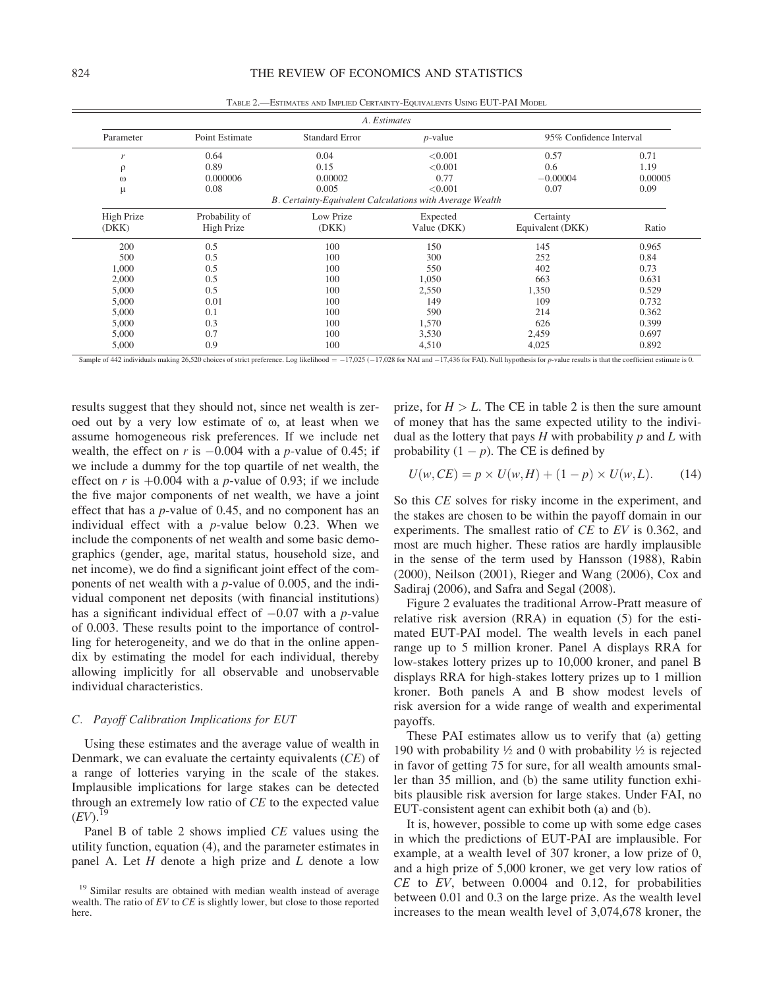TABLE 2.—ESTIMATES AND IMPLIED CERTAINTY-EQUIVALENTS USING EUT-PAI MODEL

|                     | A. Estimates                 |                                                                   |                         |                               |              |  |  |  |
|---------------------|------------------------------|-------------------------------------------------------------------|-------------------------|-------------------------------|--------------|--|--|--|
| Parameter           | Point Estimate               | <b>Standard Error</b>                                             | $p$ -value              | 95% Confidence Interval       |              |  |  |  |
| r                   | 0.64                         | 0.04                                                              | < 0.001                 | 0.57                          | 0.71<br>1.19 |  |  |  |
| $\rho$<br>$\omega$  | 0.89<br>0.000006             | 0.15<br>0.00002                                                   | < 0.001<br>0.77         | 0.6<br>$-0.00004$             | 0.00005      |  |  |  |
| μ                   | 0.08                         | 0.005<br>B. Certainty-Equivalent Calculations with Average Wealth | < 0.001                 | 0.07                          | 0.09         |  |  |  |
| High Prize<br>(DKK) | Probability of<br>High Prize | Low Prize<br>(DKK)                                                | Expected<br>Value (DKK) | Certainty<br>Equivalent (DKK) | Ratio        |  |  |  |
| 200                 | 0.5                          | 100                                                               | 150                     | 145                           | 0.965        |  |  |  |
| 500                 | 0.5                          | 100                                                               | 300                     | 252                           | 0.84         |  |  |  |
| 1,000               | 0.5                          | 100                                                               | 550                     | 402                           | 0.73         |  |  |  |
| 2,000               | 0.5                          | 100                                                               | 1,050                   | 663                           | 0.631        |  |  |  |
| 5,000               | 0.5                          | 100                                                               | 2,550                   | 1,350                         | 0.529        |  |  |  |
| 5,000               | 0.01                         | 100                                                               | 149                     | 109                           | 0.732        |  |  |  |
| 5,000               | 0.1                          | 100                                                               | 590                     | 214                           | 0.362        |  |  |  |
| 5,000               | 0.3                          | 100                                                               | 1,570                   | 626                           | 0.399        |  |  |  |
| 5,000               | 0.7                          | 100                                                               | 3,530                   | 2,459                         | 0.697        |  |  |  |
| 5,000               | 0.9                          | 100                                                               | 4,510                   | 4,025                         | 0.892        |  |  |  |

Sample of 442 individuals making 26,520 choices of strict preference. Log likelihood =  $-17,025$  ( $-17,028$  for NAI and  $-17,436$  for FAI). Null hypothesis for p-value results is that the coefficient estimate is 0.

results suggest that they should not, since net wealth is zeroed out by a very low estimate of  $\omega$ , at least when we assume homogeneous risk preferences. If we include net wealth, the effect on r is  $-0.004$  with a p-value of 0.45; if we include a dummy for the top quartile of net wealth, the effect on r is  $+0.004$  with a p-value of 0.93; if we include the five major components of net wealth, we have a joint effect that has a p-value of 0.45, and no component has an individual effect with a  $p$ -value below 0.23. When we include the components of net wealth and some basic demographics (gender, age, marital status, household size, and net income), we do find a significant joint effect of the components of net wealth with a p-value of 0.005, and the individual component net deposits (with financial institutions) has a significant individual effect of  $-0.07$  with a *p*-value of 0.003. These results point to the importance of controlling for heterogeneity, and we do that in the online appendix by estimating the model for each individual, thereby allowing implicitly for all observable and unobservable individual characteristics.

### C. Payoff Calibration Implications for EUT

Using these estimates and the average value of wealth in Denmark, we can evaluate the certainty equivalents (CE) of a range of lotteries varying in the scale of the stakes. Implausible implications for large stakes can be detected through an extremely low ratio of CE to the expected value  $(EV).^{19}$ 

Panel B of table 2 shows implied CE values using the utility function, equation (4), and the parameter estimates in panel A. Let  $H$  denote a high prize and  $L$  denote a low prize, for  $H > L$ . The CE in table 2 is then the sure amount of money that has the same expected utility to the individual as the lottery that pays  $H$  with probability  $p$  and  $L$  with probability  $(1 - p)$ . The CE is defined by

$$
U(w, CE) = p \times U(w, H) + (1 - p) \times U(w, L). \tag{14}
$$

So this CE solves for risky income in the experiment, and the stakes are chosen to be within the payoff domain in our experiments. The smallest ratio of CE to EV is 0.362, and most are much higher. These ratios are hardly implausible in the sense of the term used by Hansson (1988), Rabin (2000), Neilson (2001), Rieger and Wang (2006), Cox and Sadiraj (2006), and Safra and Segal (2008).

Figure 2 evaluates the traditional Arrow-Pratt measure of relative risk aversion (RRA) in equation (5) for the estimated EUT-PAI model. The wealth levels in each panel range up to 5 million kroner. Panel A displays RRA for low-stakes lottery prizes up to 10,000 kroner, and panel B displays RRA for high-stakes lottery prizes up to 1 million kroner. Both panels A and B show modest levels of risk aversion for a wide range of wealth and experimental payoffs.

These PAI estimates allow us to verify that (a) getting 190 with probability  $\frac{1}{2}$  and 0 with probability  $\frac{1}{2}$  is rejected in favor of getting 75 for sure, for all wealth amounts smaller than 35 million, and (b) the same utility function exhibits plausible risk aversion for large stakes. Under FAI, no EUT-consistent agent can exhibit both (a) and (b).

It is, however, possible to come up with some edge cases in which the predictions of EUT-PAI are implausible. For example, at a wealth level of 307 kroner, a low prize of 0, and a high prize of 5,000 kroner, we get very low ratios of  $CE$  to  $EV$ , between 0.0004 and 0.12, for probabilities between 0.01 and 0.3 on the large prize. As the wealth level increases to the mean wealth level of 3,074,678 kroner, the

<sup>&</sup>lt;sup>19</sup> Similar results are obtained with median wealth instead of average wealth. The ratio of  $EV$  to  $CE$  is slightly lower, but close to those reported here.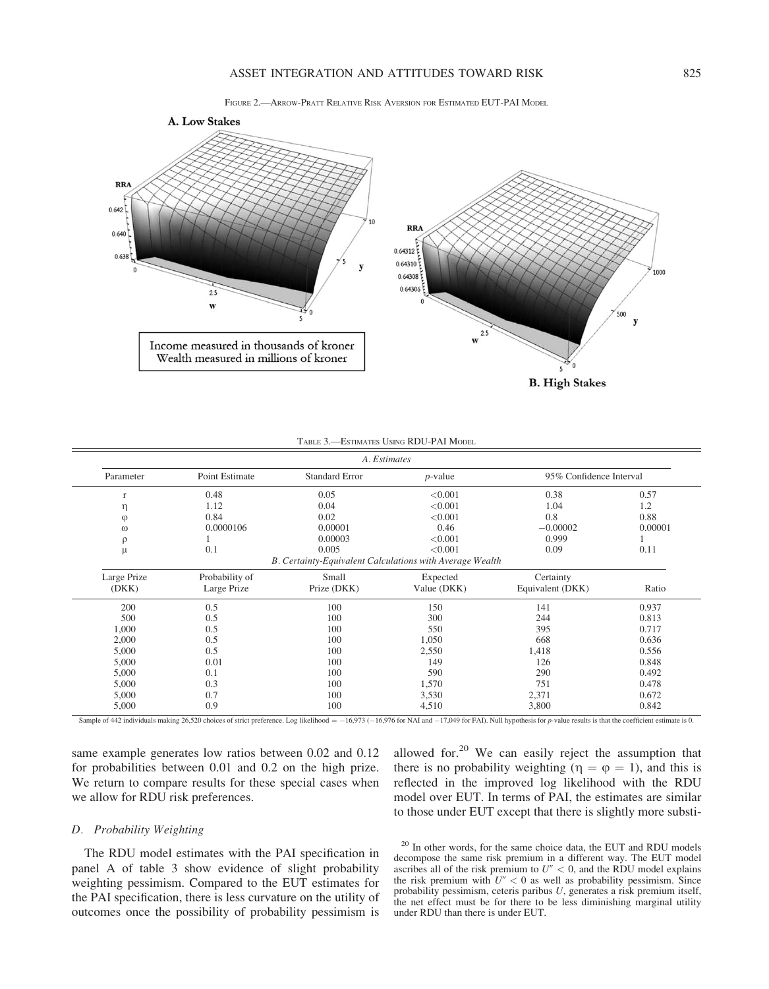



| A. Estimates |                |                                                          |             |                         |         |  |  |
|--------------|----------------|----------------------------------------------------------|-------------|-------------------------|---------|--|--|
| Parameter    | Point Estimate | <b>Standard Error</b>                                    | $p$ -value  | 95% Confidence Interval |         |  |  |
| $\mathbf{r}$ | 0.48           | 0.05                                                     | < 0.001     | 0.38                    | 0.57    |  |  |
| η            | 1.12           | 0.04                                                     | < 0.001     | 1.04                    | 1.2     |  |  |
| $\varphi$    | 0.84           | 0.02                                                     | < 0.001     | 0.8                     | 0.88    |  |  |
| $\omega$     | 0.0000106      | 0.00001                                                  | 0.46        | $-0.00002$              | 0.00001 |  |  |
| $\rho$       |                | 0.00003                                                  | < 0.001     | 0.999                   |         |  |  |
| μ            | 0.1            | 0.005                                                    | < 0.001     | 0.09                    | 0.11    |  |  |
|              |                | B. Certainty-Equivalent Calculations with Average Wealth |             |                         |         |  |  |
| Large Prize  | Probability of | Small                                                    | Expected    | Certainty               |         |  |  |
| (DKK)        | Large Prize    | Prize (DKK)                                              | Value (DKK) | Equivalent (DKK)        | Ratio   |  |  |
| 200          | 0.5            | 100                                                      | 150         | 141                     | 0.937   |  |  |
| 500          | 0.5            | 100                                                      | 300         | 244                     | 0.813   |  |  |
| 1,000        | 0.5            | 100                                                      | 550         | 395                     | 0.717   |  |  |
| 2,000        | 0.5            | 100                                                      | 1,050       | 668                     | 0.636   |  |  |
| 5,000        | 0.5            | 100                                                      | 2,550       | 1,418                   | 0.556   |  |  |
| 5,000        | 0.01           | 100                                                      | 149         | 126                     | 0.848   |  |  |
| 5,000        | 0.1            | 100                                                      | 590         | 290                     | 0.492   |  |  |
| 5,000        | 0.3            | 100                                                      | 1,570       | 751                     | 0.478   |  |  |
| 5,000        | 0.7            | 100                                                      | 3,530       | 2,371                   | 0.672   |  |  |
| 5,000        | 0.9            | 100                                                      | 4,510       | 3,800                   | 0.842   |  |  |

Sample of 442 individuals making 26,520 choices of strict preference. Log likelihood =  $-16,973$  ( $-16,976$  for NAI and  $-17,049$  for FAI). Null hypothesis for p-value results is that the coefficient estimate is 0.

same example generates low ratios between 0.02 and 0.12 for probabilities between 0.01 and 0.2 on the high prize. We return to compare results for these special cases when we allow for RDU risk preferences.

allowed for. $20$  We can easily reject the assumption that there is no probability weighting ( $\eta = \varphi = 1$ ), and this is reflected in the improved log likelihood with the RDU model over EUT. In terms of PAI, the estimates are similar to those under EUT except that there is slightly more substi-

# D. Probability Weighting

The RDU model estimates with the PAI specification in panel A of table 3 show evidence of slight probability weighting pessimism. Compared to the EUT estimates for the PAI specification, there is less curvature on the utility of outcomes once the possibility of probability pessimism is

<sup>20</sup> In other words, for the same choice data, the EUT and RDU models decompose the same risk premium in a different way. The EUT model ascribes all of the risk premium to  $U'' < 0$ , and the RDU model explains the risk premium with  $U'' < 0$  as well as probability pessimism. Since probability pessimism, ceteris paribus U, generates a risk premium itself, the net effect must be for there to be less diminishing marginal utility under RDU than there is under EUT.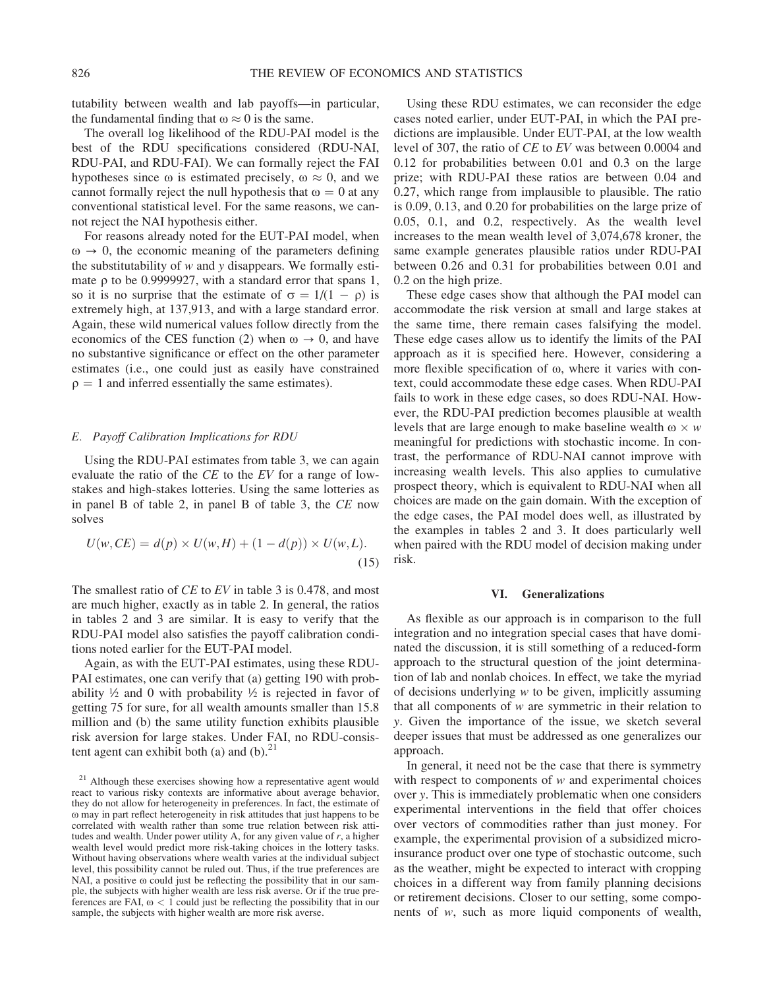tutability between wealth and lab payoffs—in particular, the fundamental finding that  $\omega \approx 0$  is the same.

The overall log likelihood of the RDU-PAI model is the best of the RDU specifications considered (RDU-NAI, RDU-PAI, and RDU-FAI). We can formally reject the FAI hypotheses since  $\omega$  is estimated precisely,  $\omega \approx 0$ , and we cannot formally reject the null hypothesis that  $\omega = 0$  at any conventional statistical level. For the same reasons, we cannot reject the NAI hypothesis either.

For reasons already noted for the EUT-PAI model, when  $\omega \rightarrow 0$ , the economic meaning of the parameters defining the substitutability of  $w$  and  $y$  disappears. We formally estimate  $\rho$  to be 0.9999927, with a standard error that spans 1, so it is no surprise that the estimate of  $\sigma = 1/(1 - \rho)$  is extremely high, at 137,913, and with a large standard error. Again, these wild numerical values follow directly from the economics of the CES function (2) when  $\omega \to 0$ , and have no substantive significance or effect on the other parameter estimates (i.e., one could just as easily have constrained  $\rho = 1$  and inferred essentially the same estimates).

### E. Payoff Calibration Implications for RDU

Using the RDU-PAI estimates from table 3, we can again evaluate the ratio of the CE to the EV for a range of lowstakes and high-stakes lotteries. Using the same lotteries as in panel B of table 2, in panel B of table 3, the CE now solves

$$
U(w, CE) = d(p) \times U(w, H) + (1 - d(p)) \times U(w, L).
$$
\n(15)

The smallest ratio of *CE* to *EV* in table 3 is 0.478, and most are much higher, exactly as in table 2. In general, the ratios in tables 2 and 3 are similar. It is easy to verify that the RDU-PAI model also satisfies the payoff calibration conditions noted earlier for the EUT-PAI model.

Again, as with the EUT-PAI estimates, using these RDU-PAI estimates, one can verify that (a) getting 190 with probability  $\frac{1}{2}$  and 0 with probability  $\frac{1}{2}$  is rejected in favor of getting 75 for sure, for all wealth amounts smaller than 15.8 million and (b) the same utility function exhibits plausible risk aversion for large stakes. Under FAI, no RDU-consistent agent can exhibit both (a) and  $(b)$ .<sup>21</sup>

Using these RDU estimates, we can reconsider the edge cases noted earlier, under EUT-PAI, in which the PAI predictions are implausible. Under EUT-PAI, at the low wealth level of 307, the ratio of CE to EV was between 0.0004 and 0.12 for probabilities between 0.01 and 0.3 on the large prize; with RDU-PAI these ratios are between 0.04 and 0.27, which range from implausible to plausible. The ratio is 0.09, 0.13, and 0.20 for probabilities on the large prize of 0.05, 0.1, and 0.2, respectively. As the wealth level increases to the mean wealth level of 3,074,678 kroner, the same example generates plausible ratios under RDU-PAI between 0.26 and 0.31 for probabilities between 0.01 and 0.2 on the high prize.

These edge cases show that although the PAI model can accommodate the risk version at small and large stakes at the same time, there remain cases falsifying the model. These edge cases allow us to identify the limits of the PAI approach as it is specified here. However, considering a more flexible specification of ω, where it varies with context, could accommodate these edge cases. When RDU-PAI fails to work in these edge cases, so does RDU-NAI. However, the RDU-PAI prediction becomes plausible at wealth levels that are large enough to make baseline wealth  $\omega \times w$ meaningful for predictions with stochastic income. In contrast, the performance of RDU-NAI cannot improve with increasing wealth levels. This also applies to cumulative prospect theory, which is equivalent to RDU-NAI when all choices are made on the gain domain. With the exception of the edge cases, the PAI model does well, as illustrated by the examples in tables 2 and 3. It does particularly well when paired with the RDU model of decision making under risk.

### VI. Generalizations

As flexible as our approach is in comparison to the full integration and no integration special cases that have dominated the discussion, it is still something of a reduced-form approach to the structural question of the joint determination of lab and nonlab choices. In effect, we take the myriad of decisions underlying  $w$  to be given, implicitly assuming that all components of  $w$  are symmetric in their relation to y. Given the importance of the issue, we sketch several deeper issues that must be addressed as one generalizes our approach.

In general, it need not be the case that there is symmetry with respect to components of  $w$  and experimental choices over y. This is immediately problematic when one considers experimental interventions in the field that offer choices over vectors of commodities rather than just money. For example, the experimental provision of a subsidized microinsurance product over one type of stochastic outcome, such as the weather, might be expected to interact with cropping choices in a different way from family planning decisions or retirement decisions. Closer to our setting, some components of w, such as more liquid components of wealth,

<sup>&</sup>lt;sup>21</sup> Although these exercises showing how a representative agent would react to various risky contexts are informative about average behavior, they do not allow for heterogeneity in preferences. In fact, the estimate of o may in part reflect heterogeneity in risk attitudes that just happens to be correlated with wealth rather than some true relation between risk attitudes and wealth. Under power utility A, for any given value of  $r$ , a higher wealth level would predict more risk-taking choices in the lottery tasks. Without having observations where wealth varies at the individual subject level, this possibility cannot be ruled out. Thus, if the true preferences are NAI, a positive  $\omega$  could just be reflecting the possibility that in our sample, the subjects with higher wealth are less risk averse. Or if the true preferences are FAI,  $\omega$  < 1 could just be reflecting the possibility that in our sample, the subjects with higher wealth are more risk averse.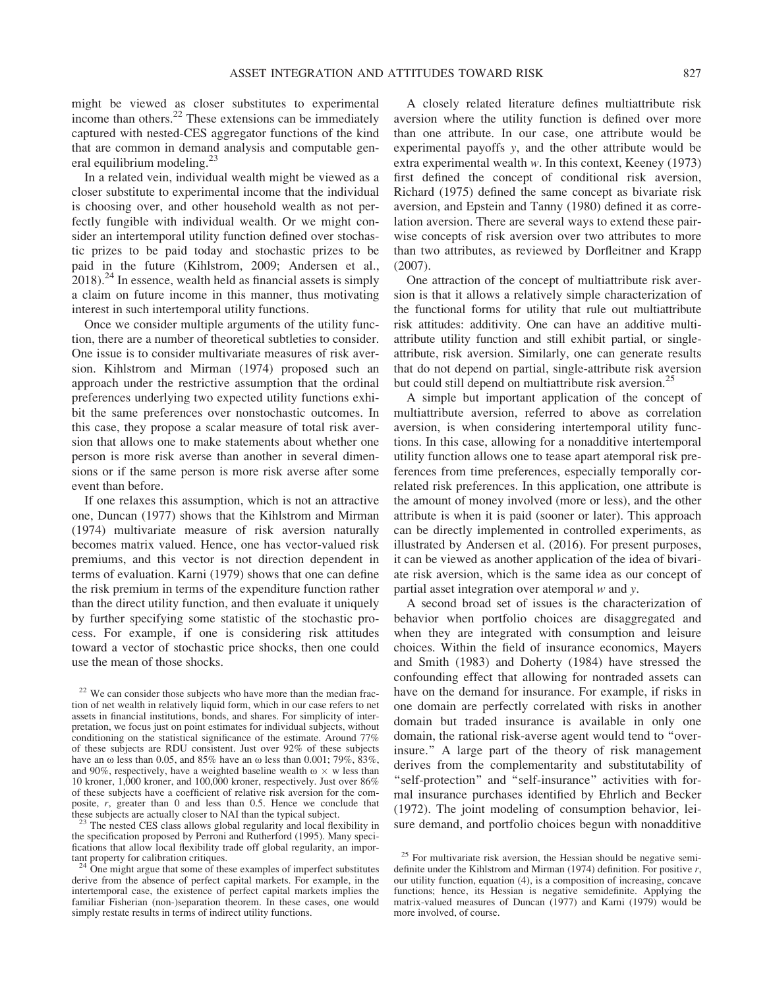might be viewed as closer substitutes to experimental income than others.<sup>22</sup> These extensions can be immediately captured with nested-CES aggregator functions of the kind that are common in demand analysis and computable general equilibrium modeling.<sup>23</sup>

In a related vein, individual wealth might be viewed as a closer substitute to experimental income that the individual is choosing over, and other household wealth as not perfectly fungible with individual wealth. Or we might consider an intertemporal utility function defined over stochastic prizes to be paid today and stochastic prizes to be paid in the future (Kihlstrom, 2009; Andersen et al.,  $2018$ .<sup>24</sup> In essence, wealth held as financial assets is simply a claim on future income in this manner, thus motivating interest in such intertemporal utility functions.

Once we consider multiple arguments of the utility function, there are a number of theoretical subtleties to consider. One issue is to consider multivariate measures of risk aversion. Kihlstrom and Mirman (1974) proposed such an approach under the restrictive assumption that the ordinal preferences underlying two expected utility functions exhibit the same preferences over nonstochastic outcomes. In this case, they propose a scalar measure of total risk aversion that allows one to make statements about whether one person is more risk averse than another in several dimensions or if the same person is more risk averse after some event than before.

If one relaxes this assumption, which is not an attractive one, Duncan (1977) shows that the Kihlstrom and Mirman (1974) multivariate measure of risk aversion naturally becomes matrix valued. Hence, one has vector-valued risk premiums, and this vector is not direction dependent in terms of evaluation. Karni (1979) shows that one can define the risk premium in terms of the expenditure function rather than the direct utility function, and then evaluate it uniquely by further specifying some statistic of the stochastic process. For example, if one is considering risk attitudes toward a vector of stochastic price shocks, then one could use the mean of those shocks.

A closely related literature defines multiattribute risk aversion where the utility function is defined over more than one attribute. In our case, one attribute would be experimental payoffs y, and the other attribute would be extra experimental wealth w. In this context, Keeney (1973) first defined the concept of conditional risk aversion, Richard (1975) defined the same concept as bivariate risk aversion, and Epstein and Tanny (1980) defined it as correlation aversion. There are several ways to extend these pairwise concepts of risk aversion over two attributes to more than two attributes, as reviewed by Dorfleitner and Krapp (2007).

One attraction of the concept of multiattribute risk aversion is that it allows a relatively simple characterization of the functional forms for utility that rule out multiattribute risk attitudes: additivity. One can have an additive multiattribute utility function and still exhibit partial, or singleattribute, risk aversion. Similarly, one can generate results that do not depend on partial, single-attribute risk aversion but could still depend on multiattribute risk aversion.<sup>25</sup>

A simple but important application of the concept of multiattribute aversion, referred to above as correlation aversion, is when considering intertemporal utility functions. In this case, allowing for a nonadditive intertemporal utility function allows one to tease apart atemporal risk preferences from time preferences, especially temporally correlated risk preferences. In this application, one attribute is the amount of money involved (more or less), and the other attribute is when it is paid (sooner or later). This approach can be directly implemented in controlled experiments, as illustrated by Andersen et al. (2016). For present purposes, it can be viewed as another application of the idea of bivariate risk aversion, which is the same idea as our concept of partial asset integration over atemporal  $w$  and  $y$ .

A second broad set of issues is the characterization of behavior when portfolio choices are disaggregated and when they are integrated with consumption and leisure choices. Within the field of insurance economics, Mayers and Smith (1983) and Doherty (1984) have stressed the confounding effect that allowing for nontraded assets can have on the demand for insurance. For example, if risks in one domain are perfectly correlated with risks in another domain but traded insurance is available in only one domain, the rational risk-averse agent would tend to ''overinsure.'' A large part of the theory of risk management derives from the complementarity and substitutability of "self-protection" and "self-insurance" activities with formal insurance purchases identified by Ehrlich and Becker (1972). The joint modeling of consumption behavior, leisure demand, and portfolio choices begun with nonadditive

<sup>&</sup>lt;sup>22</sup> We can consider those subjects who have more than the median fraction of net wealth in relatively liquid form, which in our case refers to net assets in financial institutions, bonds, and shares. For simplicity of interpretation, we focus just on point estimates for individual subjects, without conditioning on the statistical significance of the estimate. Around 77% of these subjects are RDU consistent. Just over 92% of these subjects have an  $\omega$  less than 0.05, and 85% have an  $\omega$  less than 0.001; 79%, 83%, and 90%, respectively, have a weighted baseline wealth  $\omega \times w$  less than 10 kroner, 1,000 kroner, and 100,000 kroner, respectively. Just over 86% of these subjects have a coefficient of relative risk aversion for the composite, r, greater than 0 and less than 0.5. Hence we conclude that these subjects are actually closer to NAI than the typical subject.<br><sup>23</sup> The nested CES class allows global regularity and local flexibility in

the specification proposed by Perroni and Rutherford (1995). Many specifications that allow local flexibility trade off global regularity, an impor-<br>tant property for calibration critiques.<br> $^{24}$  One might argue that some interests of

One might argue that some of these examples of imperfect substitutes derive from the absence of perfect capital markets. For example, in the intertemporal case, the existence of perfect capital markets implies the familiar Fisherian (non-)separation theorem. In these cases, one would simply restate results in terms of indirect utility functions.

<sup>&</sup>lt;sup>25</sup> For multivariate risk aversion, the Hessian should be negative semidefinite under the Kihlstrom and Mirman (1974) definition. For positive r, our utility function, equation (4), is a composition of increasing, concave functions; hence, its Hessian is negative semidefinite. Applying the matrix-valued measures of Duncan (1977) and Karni (1979) would be more involved, of course.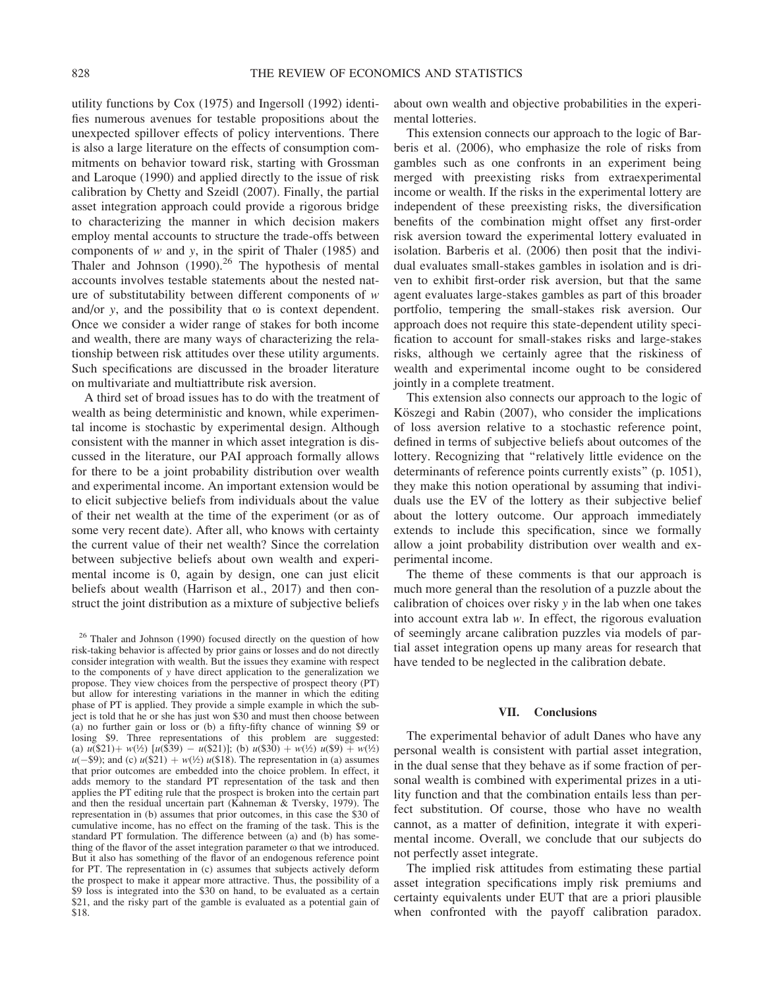utility functions by Cox (1975) and Ingersoll (1992) identifies numerous avenues for testable propositions about the unexpected spillover effects of policy interventions. There is also a large literature on the effects of consumption commitments on behavior toward risk, starting with Grossman and Laroque (1990) and applied directly to the issue of risk calibration by Chetty and Szeidl (2007). Finally, the partial asset integration approach could provide a rigorous bridge to characterizing the manner in which decision makers employ mental accounts to structure the trade-offs between components of  $w$  and  $y$ , in the spirit of Thaler (1985) and Thaler and Johnson  $(1990)$ .<sup>26</sup> The hypothesis of mental accounts involves testable statements about the nested nature of substitutability between different components of  $w$ and/or y, and the possibility that  $\omega$  is context dependent. Once we consider a wider range of stakes for both income and wealth, there are many ways of characterizing the relationship between risk attitudes over these utility arguments. Such specifications are discussed in the broader literature on multivariate and multiattribute risk aversion.

A third set of broad issues has to do with the treatment of wealth as being deterministic and known, while experimental income is stochastic by experimental design. Although consistent with the manner in which asset integration is discussed in the literature, our PAI approach formally allows for there to be a joint probability distribution over wealth and experimental income. An important extension would be to elicit subjective beliefs from individuals about the value of their net wealth at the time of the experiment (or as of some very recent date). After all, who knows with certainty the current value of their net wealth? Since the correlation between subjective beliefs about own wealth and experimental income is 0, again by design, one can just elicit beliefs about wealth (Harrison et al., 2017) and then construct the joint distribution as a mixture of subjective beliefs about own wealth and objective probabilities in the experimental lotteries.

This extension connects our approach to the logic of Barberis et al. (2006), who emphasize the role of risks from gambles such as one confronts in an experiment being merged with preexisting risks from extraexperimental income or wealth. If the risks in the experimental lottery are independent of these preexisting risks, the diversification benefits of the combination might offset any first-order risk aversion toward the experimental lottery evaluated in isolation. Barberis et al. (2006) then posit that the individual evaluates small-stakes gambles in isolation and is driven to exhibit first-order risk aversion, but that the same agent evaluates large-stakes gambles as part of this broader portfolio, tempering the small-stakes risk aversion. Our approach does not require this state-dependent utility specification to account for small-stakes risks and large-stakes risks, although we certainly agree that the riskiness of wealth and experimental income ought to be considered jointly in a complete treatment.

This extension also connects our approach to the logic of Köszegi and Rabin (2007), who consider the implications of loss aversion relative to a stochastic reference point, defined in terms of subjective beliefs about outcomes of the lottery. Recognizing that ''relatively little evidence on the determinants of reference points currently exists'' (p. 1051), they make this notion operational by assuming that individuals use the EV of the lottery as their subjective belief about the lottery outcome. Our approach immediately extends to include this specification, since we formally allow a joint probability distribution over wealth and experimental income.

The theme of these comments is that our approach is much more general than the resolution of a puzzle about the calibration of choices over risky y in the lab when one takes into account extra lab w. In effect, the rigorous evaluation of seemingly arcane calibration puzzles via models of partial asset integration opens up many areas for research that have tended to be neglected in the calibration debate.

### VII. Conclusions

The experimental behavior of adult Danes who have any personal wealth is consistent with partial asset integration, in the dual sense that they behave as if some fraction of personal wealth is combined with experimental prizes in a utility function and that the combination entails less than perfect substitution. Of course, those who have no wealth cannot, as a matter of definition, integrate it with experimental income. Overall, we conclude that our subjects do not perfectly asset integrate.

The implied risk attitudes from estimating these partial asset integration specifications imply risk premiums and certainty equivalents under EUT that are a priori plausible when confronted with the payoff calibration paradox.

<sup>&</sup>lt;sup>26</sup> Thaler and Johnson (1990) focused directly on the question of how risk-taking behavior is affected by prior gains or losses and do not directly consider integration with wealth. But the issues they examine with respect to the components of y have direct application to the generalization we propose. They view choices from the perspective of prospect theory (PT) but allow for interesting variations in the manner in which the editing phase of PT is applied. They provide a simple example in which the subject is told that he or she has just won \$30 and must then choose between (a) no further gain or loss or (b) a fifty-fifty chance of winning \$9 or losing \$9. Three representations of this problem are suggested: (a)  $u(521) + w(½) [u(539) - u(521)];$  (b)  $u(530) + w(½) u(59) + w(½)$  $u(-\$9)$ ; and (c)  $u(\$21) + w(\frac{1}{2}) u(\$18)$ . The representation in (a) assumes that prior outcomes are embedded into the choice problem. In effect, it adds memory to the standard PT representation of the task and then applies the PT editing rule that the prospect is broken into the certain part and then the residual uncertain part (Kahneman & Tversky, 1979). The representation in (b) assumes that prior outcomes, in this case the \$30 of cumulative income, has no effect on the framing of the task. This is the standard PT formulation. The difference between (a) and (b) has something of the flavor of the asset integration parameter o that we introduced. But it also has something of the flavor of an endogenous reference point for PT. The representation in (c) assumes that subjects actively deform the prospect to make it appear more attractive. Thus, the possibility of a \$9 loss is integrated into the \$30 on hand, to be evaluated as a certain \$21, and the risky part of the gamble is evaluated as a potential gain of \$18.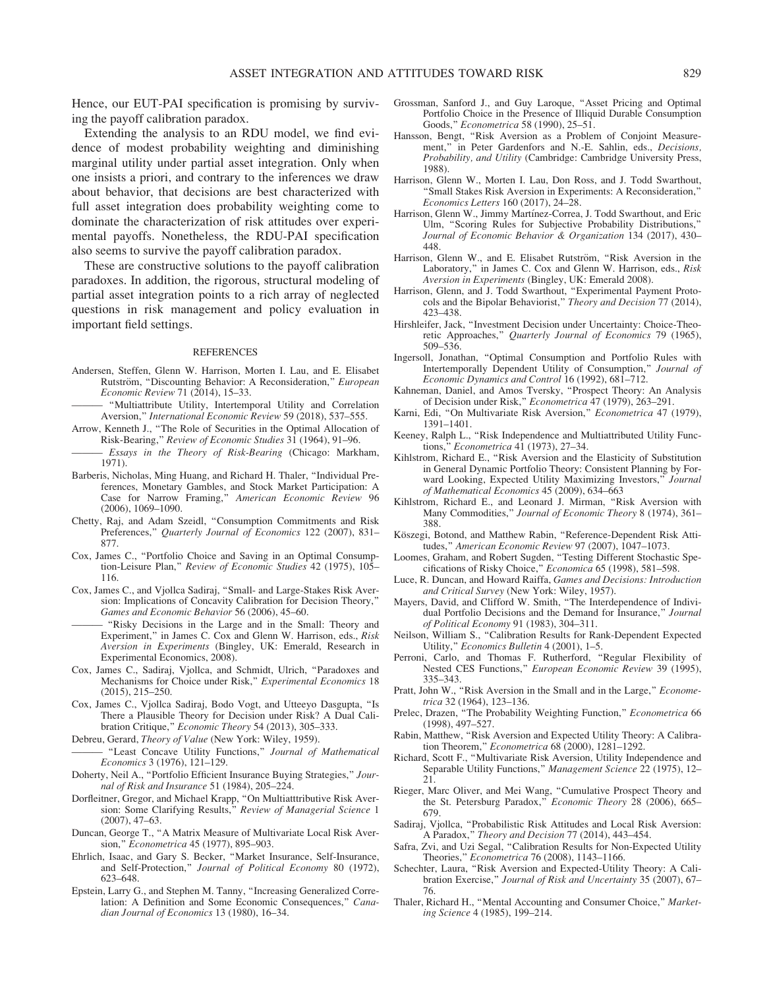Hence, our EUT-PAI specification is promising by surviving the payoff calibration paradox.

Extending the analysis to an RDU model, we find evidence of modest probability weighting and diminishing marginal utility under partial asset integration. Only when one insists a priori, and contrary to the inferences we draw about behavior, that decisions are best characterized with full asset integration does probability weighting come to dominate the characterization of risk attitudes over experimental payoffs. Nonetheless, the RDU-PAI specification also seems to survive the payoff calibration paradox.

These are constructive solutions to the payoff calibration paradoxes. In addition, the rigorous, structural modeling of partial asset integration points to a rich array of neglected questions in risk management and policy evaluation in important field settings.

#### REFERENCES

- Andersen, Steffen, Glenn W. Harrison, Morten I. Lau, and E. Elisabet Rutström, "Discounting Behavior: A Reconsideration," European Economic Review 71 (2014), 15–33.
- ——— ''Multiattribute Utility, Intertemporal Utility and Correlation Aversion,'' International Economic Review 59 (2018), 537–555.
- Arrow, Kenneth J., ''The Role of Securities in the Optimal Allocation of Risk-Bearing,'' Review of Economic Studies 31 (1964), 91–96.
- Essays in the Theory of Risk-Bearing (Chicago: Markham, 1971).
- Barberis, Nicholas, Ming Huang, and Richard H. Thaler, ''Individual Preferences, Monetary Gambles, and Stock Market Participation: A Case for Narrow Framing,'' American Economic Review 96 (2006), 1069–1090.
- Chetty, Raj, and Adam Szeidl, ''Consumption Commitments and Risk Preferences," Quarterly Journal of Economics 122 (2007), 831-877.
- Cox, James C., ''Portfolio Choice and Saving in an Optimal Consumption-Leisure Plan,'' Review of Economic Studies 42 (1975), 105– 116.
- Cox, James C., and Vjollca Sadiraj, ''Small- and Large-Stakes Risk Aversion: Implications of Concavity Calibration for Decision Theory,'' Games and Economic Behavior 56 (2006), 45–60.
- ——— ''Risky Decisions in the Large and in the Small: Theory and Experiment," in James C. Cox and Glenn W. Harrison, eds., Risk Aversion in Experiments (Bingley, UK: Emerald, Research in Experimental Economics, 2008).
- Cox, James C., Sadiraj, Vjollca, and Schmidt, Ulrich, ''Paradoxes and Mechanisms for Choice under Risk,'' Experimental Economics 18 (2015), 215–250.
- Cox, James C., Vjollca Sadiraj, Bodo Vogt, and Utteeyo Dasgupta, ''Is There a Plausible Theory for Decision under Risk? A Dual Calibration Critique,'' Economic Theory 54 (2013), 305–333.
- Debreu, Gerard, Theory of Value (New York: Wiley, 1959).
- "Least Concave Utility Functions," Journal of Mathematical Economics 3 (1976), 121–129.
- Doherty, Neil A., ''Portfolio Efficient Insurance Buying Strategies,'' Journal of Risk and Insurance 51 (1984), 205–224.
- Dorfleitner, Gregor, and Michael Krapp, ''On Multiatttributive Risk Aversion: Some Clarifying Results," Review of Managerial Science 1 (2007), 47–63.
- Duncan, George T., ''A Matrix Measure of Multivariate Local Risk Aversion,'' Econometrica 45 (1977), 895–903.
- Ehrlich, Isaac, and Gary S. Becker, ''Market Insurance, Self-Insurance, and Self-Protection,'' Journal of Political Economy 80 (1972), 623–648.
- Epstein, Larry G., and Stephen M. Tanny, ''Increasing Generalized Correlation: A Definition and Some Economic Consequences," Canadian Journal of Economics 13 (1980), 16–34.
- Grossman, Sanford J., and Guy Laroque, ''Asset Pricing and Optimal Portfolio Choice in the Presence of Illiquid Durable Consumption Goods,'' Econometrica 58 (1990), 25–51.
- Hansson, Bengt, ''Risk Aversion as a Problem of Conjoint Measurement," in Peter Gardenfors and N.-E. Sahlin, eds., Decisions, Probability, and Utility (Cambridge: Cambridge University Press, 1988).
- Harrison, Glenn W., Morten I. Lau, Don Ross, and J. Todd Swarthout, ''Small Stakes Risk Aversion in Experiments: A Reconsideration,'' Economics Letters 160 (2017), 24–28.
- Harrison, Glenn W., Jimmy Martínez-Correa, J. Todd Swarthout, and Eric Ulm, ''Scoring Rules for Subjective Probability Distributions,'' Journal of Economic Behavior & Organization 134 (2017), 430– 448.
- Harrison, Glenn W., and E. Elisabet Rutström, "Risk Aversion in the Laboratory," in James C. Cox and Glenn W. Harrison, eds., Risk Aversion in Experiments (Bingley, UK: Emerald 2008).
- Harrison, Glenn, and J. Todd Swarthout, ''Experimental Payment Protocols and the Bipolar Behaviorist," Theory and Decision 77 (2014), 423–438.
- Hirshleifer, Jack, ''Investment Decision under Uncertainty: Choice-Theoretic Approaches," Quarterly Journal of Economics 79 (1965), 509–536.
- Ingersoll, Jonathan, ''Optimal Consumption and Portfolio Rules with Intertemporally Dependent Utility of Consumption," Journal of Economic Dynamics and Control 16 (1992), 681–712.
- Kahneman, Daniel, and Amos Tversky, ''Prospect Theory: An Analysis of Decision under Risk," Econometrica 47 (1979), 263-291.
- Karni, Edi, "On Multivariate Risk Aversion," Econometrica 47 (1979), 1391–1401.
- Keeney, Ralph L., ''Risk Independence and Multiattributed Utility Functions,'' Econometrica 41 (1973), 27–34.
- Kihlstrom, Richard E., ''Risk Aversion and the Elasticity of Substitution in General Dynamic Portfolio Theory: Consistent Planning by Forward Looking, Expected Utility Maximizing Investors," Journal of Mathematical Economics 45 (2009), 634–663
- Kihlstrom, Richard E., and Leonard J. Mirman, "Risk Aversion with Many Commodities," Journal of Economic Theory 8 (1974), 361-388.
- Köszegi, Botond, and Matthew Rabin, "Reference-Dependent Risk Attitudes,'' American Economic Review 97 (2007), 1047–1073.
- Loomes, Graham, and Robert Sugden, ''Testing Different Stochastic Specifications of Risky Choice," Economica 65 (1998), 581-598.
- Luce, R. Duncan, and Howard Raiffa, Games and Decisions: Introduction and Critical Survey (New York: Wiley, 1957).
- Mayers, David, and Clifford W. Smith, ''The Interdependence of Individual Portfolio Decisions and the Demand for Insurance," Journal of Political Economy 91 (1983), 304–311.
- Neilson, William S., ''Calibration Results for Rank-Dependent Expected Utility,'' Economics Bulletin 4 (2001), 1–5.
- Perroni, Carlo, and Thomas F. Rutherford, "Regular Flexibility of Nested CES Functions,'' European Economic Review 39 (1995), 335–343.
- Pratt, John W., "Risk Aversion in the Small and in the Large," Econometrica 32 (1964), 123–136.
- Prelec, Drazen, "The Probability Weighting Function," Econometrica 66 (1998), 497–527.
- Rabin, Matthew, ''Risk Aversion and Expected Utility Theory: A Calibration Theorem,'' Econometrica 68 (2000), 1281–1292.
- Richard, Scott F., ''Multivariate Risk Aversion, Utility Independence and Separable Utility Functions," Management Science 22 (1975), 12-21.
- Rieger, Marc Oliver, and Mei Wang, ''Cumulative Prospect Theory and the St. Petersburg Paradox," Economic Theory 28 (2006), 665-679.
- Sadiraj, Vjollca, ''Probabilistic Risk Attitudes and Local Risk Aversion: A Paradox,'' Theory and Decision 77 (2014), 443–454.
- Safra, Zvi, and Uzi Segal, ''Calibration Results for Non-Expected Utility Theories,'' Econometrica 76 (2008), 1143–1166.
- Schechter, Laura, ''Risk Aversion and Expected-Utility Theory: A Calibration Exercise," Journal of Risk and Uncertainty 35 (2007), 67-76.
- Thaler, Richard H., "Mental Accounting and Consumer Choice," Marketing Science 4 (1985), 199–214.